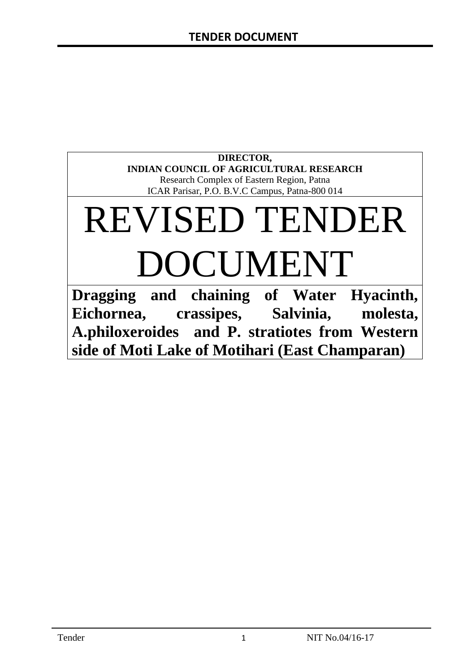# **DIRECTOR, INDIAN COUNCIL OF AGRICULTURAL RESEARCH** Research Complex of Eastern Region, Patna ICAR Parisar, P.O. B.V.C Campus, Patna-800 014

# REVISED TENDER DOCUMENT

**Dragging and chaining of Water Hyacinth, Eichornea, crassipes, Salvinia, molesta, A.philoxeroides and P. stratiotes from Western side of Moti Lake of Motihari (East Champaran)**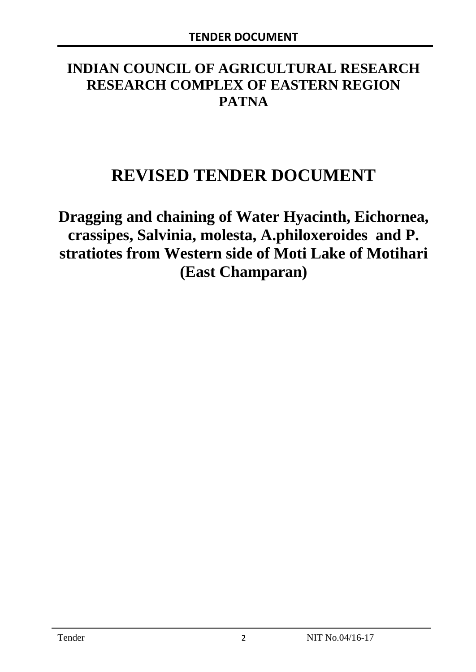# **INDIAN COUNCIL OF AGRICULTURAL RESEARCH RESEARCH COMPLEX OF EASTERN REGION PATNA**

# **REVISED TENDER DOCUMENT**

**Dragging and chaining of Water Hyacinth, Eichornea, crassipes, Salvinia, molesta, A.philoxeroides and P. stratiotes from Western side of Moti Lake of Motihari (East Champaran)**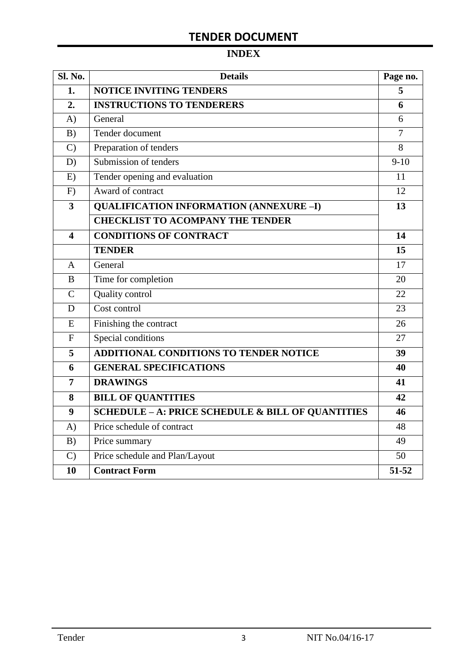# **INDEX**

| <b>Sl. No.</b> | <b>Details</b>                                    | Page no.       |
|----------------|---------------------------------------------------|----------------|
| 1.             | <b>NOTICE INVITING TENDERS</b>                    | 5              |
| 2.             | <b>INSTRUCTIONS TO TENDERERS</b>                  | 6              |
| A)             | General                                           | 6              |
| B)             | Tender document                                   | $\overline{7}$ |
| $\mathcal{C}$  | Preparation of tenders                            | 8              |
| D)             | Submission of tenders                             | $9-10$         |
| E)             | Tender opening and evaluation                     | 11             |
| F)             | Award of contract                                 | 12             |
| 3              | <b>QUALIFICATION INFORMATION (ANNEXURE-I)</b>     | 13             |
|                | <b>CHECKLIST TO ACOMPANY THE TENDER</b>           |                |
| 4              | <b>CONDITIONS OF CONTRACT</b>                     | 14             |
|                | <b>TENDER</b>                                     | 15             |
| A              | General                                           | 17             |
| B              | Time for completion                               | 20             |
| $\overline{C}$ | Quality control                                   | 22             |
| D              | Cost control                                      | 23             |
| E              | Finishing the contract                            | 26             |
| $\overline{F}$ | Special conditions                                | 27             |
| 5              | ADDITIONAL CONDITIONS TO TENDER NOTICE            | 39             |
| 6              | <b>GENERAL SPECIFICATIONS</b>                     | 40             |
| $\overline{7}$ | <b>DRAWINGS</b>                                   | 41             |
| 8              | <b>BILL OF QUANTITIES</b>                         | 42             |
| 9              | SCHEDULE - A: PRICE SCHEDULE & BILL OF QUANTITIES | 46             |
| A)             | Price schedule of contract                        | 48             |
| B)             | Price summary                                     | 49             |
| $\mathcal{C}$  | Price schedule and Plan/Layout                    | 50             |
| 10             | <b>Contract Form</b>                              | 51-52          |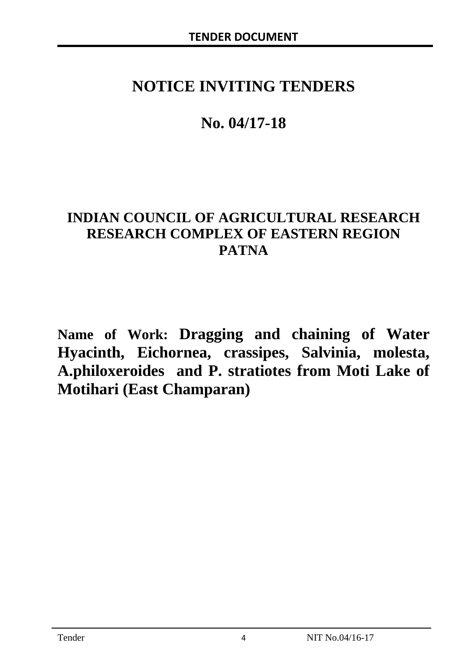# **NOTICE INVITING TENDERS**

# **No. 04/17-18**

# **INDIAN COUNCIL OF AGRICULTURAL RESEARCH RESEARCH COMPLEX OF EASTERN REGION PATNA**

**Name of Work: Dragging and chaining of Water Hyacinth, Eichornea, crassipes, Salvinia, molesta, A.philoxeroides and P. stratiotes from Moti Lake of Motihari (East Champaran)**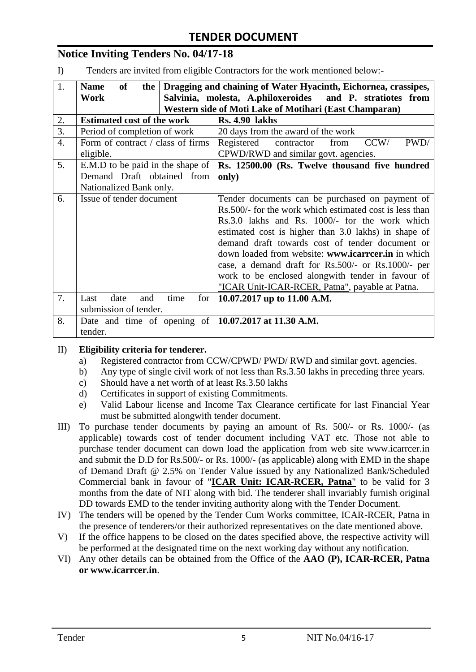# **Notice Inviting Tenders No. 04/17-18**

I) Tenders are invited from eligible Contractors for the work mentioned below:-

| 1.               | of<br><b>Name</b><br>the                                     | Dragging and chaining of Water Hyacinth, Eichornea, crassipes, |
|------------------|--------------------------------------------------------------|----------------------------------------------------------------|
|                  | Work                                                         | Salvinia, molesta, A.philoxeroides<br>and P. stratiotes from   |
|                  |                                                              | Western side of Moti Lake of Motihari (East Champaran)         |
| 2.               | <b>Estimated cost of the work</b>                            | <b>Rs. 4.90 lakhs</b>                                          |
| 3.               | Period of completion of work                                 | 20 days from the award of the work                             |
| $\overline{4}$ . | Form of contract / class of firms                            | Registered<br>CCW/<br>PWD/<br>contractor<br>from               |
|                  | eligible.                                                    | CPWD/RWD and similar govt. agencies.                           |
| 5.               | E.M.D to be paid in the shape of                             | Rs. 12500.00 (Rs. Twelve thousand five hundred                 |
|                  | Demand Draft obtained from                                   | only)                                                          |
|                  | Nationalized Bank only.                                      |                                                                |
| 6.               | Issue of tender document                                     | Tender documents can be purchased on payment of                |
|                  |                                                              | Rs.500/- for the work which estimated cost is less than        |
|                  |                                                              | Rs.3.0 lakhs and Rs. 1000/- for the work which                 |
|                  |                                                              | estimated cost is higher than 3.0 lakhs) in shape of           |
|                  |                                                              | demand draft towards cost of tender document or                |
|                  |                                                              | down loaded from website: www.icarrcer.in in which             |
|                  |                                                              | case, a demand draft for Rs.500/- or Rs.1000/- per             |
|                  |                                                              | work to be enclosed alongwith tender in favour of              |
|                  |                                                              | "ICAR Unit-ICAR-RCER, Patna", payable at Patna.                |
| 7.               | date<br>time<br>for<br>Last<br>and                           | 10.07.2017 up to 11.00 A.M.                                    |
|                  | submission of tender.                                        |                                                                |
| 8.               | Date and time of opening of $\vert 10.07.2017$ at 11.30 A.M. |                                                                |
|                  | tender.                                                      |                                                                |

#### II) **Eligibility criteria for tenderer.**

- a) Registered contractor from CCW/CPWD/ PWD/ RWD and similar govt. agencies.
- b) Any type of single civil work of not less than Rs.3.50 lakhs in preceding three years.
- c) Should have a net worth of at least Rs.3.50 lakhs
- d) Certificates in support of existing Commitments.
- e) Valid Labour license and Income Tax Clearance certificate for last Financial Year must be submitted alongwith tender document.
- III) To purchase tender documents by paying an amount of Rs. 500/- or Rs. 1000/- (as applicable) towards cost of tender document including VAT etc. Those not able to purchase tender document can down load the application from web site www.icarrcer.in and submit the D.D for Rs.500/- or Rs. 1000/- (as applicable) along with EMD in the shape of Demand Draft @ 2.5% on Tender Value issued by any Nationalized Bank/Scheduled Commercial bank in favour of "**ICAR Unit: ICAR-RCER, Patna**" to be valid for 3 months from the date of NIT along with bid. The tenderer shall invariably furnish original DD towards EMD to the tender inviting authority along with the Tender Document.
- IV) The tenders will be opened by the Tender Cum Works committee, ICAR-RCER, Patna in the presence of tenderers/or their authorized representatives on the date mentioned above.
- V) If the office happens to be closed on the dates specified above, the respective activity will be performed at the designated time on the next working day without any notification.
- VI) Any other details can be obtained from the Office of the **AAO (P), ICAR-RCER, Patna or www.icarrcer.in**.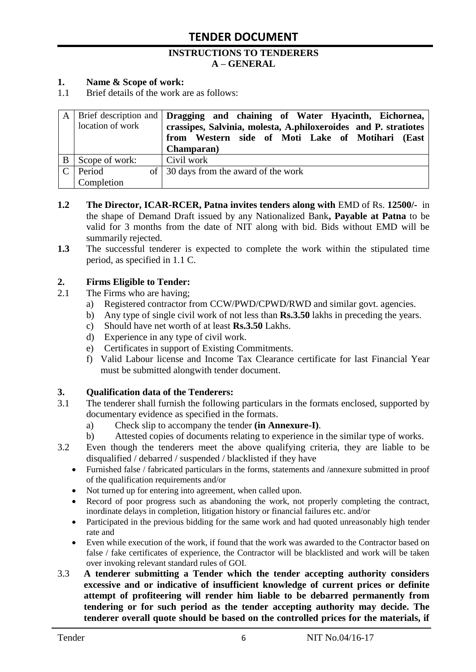#### **INSTRUCTIONS TO TENDERERS A – GENERAL**

#### **1. Name & Scope of work:**

1.1 Brief details of the work are as follows:

|   |                  | A   Brief description and   Dragging and chaining of Water Hyacinth, Eichornea, |
|---|------------------|---------------------------------------------------------------------------------|
|   | location of work | crassipes, Salvinia, molesta, A.philoxeroides and P. stratiotes                 |
|   |                  | from Western side of Moti Lake of Motihari (East                                |
|   |                  | <b>Champaran</b> )                                                              |
| B | Scope of work:   | Civil work                                                                      |
|   | $C$   Period     | of 30 days from the award of the work                                           |
|   | Completion       |                                                                                 |

- **1.2 The Director, ICAR-RCER, Patna invites tenders along with** EMD of Rs. **12500/-** in the shape of Demand Draft issued by any Nationalized Bank**, Payable at Patna** to be valid for 3 months from the date of NIT along with bid. Bids without EMD will be summarily rejected.
- **1.3** The successful tenderer is expected to complete the work within the stipulated time period, as specified in 1.1 C.

#### **2. Firms Eligible to Tender:**

- 2.1 The Firms who are having;
	- a) Registered contractor from CCW/PWD/CPWD/RWD and similar govt. agencies.
	- b) Any type of single civil work of not less than **Rs.3.50** lakhs in preceding the years.
	- c) Should have net worth of at least **Rs.3.50** Lakhs.
	- d) Experience in any type of civil work.
	- e) Certificates in support of Existing Commitments.
	- f) Valid Labour license and Income Tax Clearance certificate for last Financial Year must be submitted alongwith tender document.

#### **3. Qualification data of the Tenderers:**

- 3.1 The tenderer shall furnish the following particulars in the formats enclosed, supported by documentary evidence as specified in the formats.
	- a) Check slip to accompany the tender **(in Annexure-I)**.
	- b) Attested copies of documents relating to experience in the similar type of works.
- 3.2 Even though the tenderers meet the above qualifying criteria, they are liable to be disqualified / debarred / suspended / blacklisted if they have
	- Furnished false / fabricated particulars in the forms, statements and /annexure submitted in proof of the qualification requirements and/or
	- Not turned up for entering into agreement, when called upon.
	- Record of poor progress such as abandoning the work, not properly completing the contract, inordinate delays in completion, litigation history or financial failures etc. and/or
	- Participated in the previous bidding for the same work and had quoted unreasonably high tender rate and
	- Even while execution of the work, if found that the work was awarded to the Contractor based on false / fake certificates of experience, the Contractor will be blacklisted and work will be taken over invoking relevant standard rules of GOI.
- 3.3 **A tenderer submitting a Tender which the tender accepting authority considers excessive and or indicative of insufficient knowledge of current prices or definite attempt of profiteering will render him liable to be debarred permanently from tendering or for such period as the tender accepting authority may decide. The tenderer overall quote should be based on the controlled prices for the materials, if**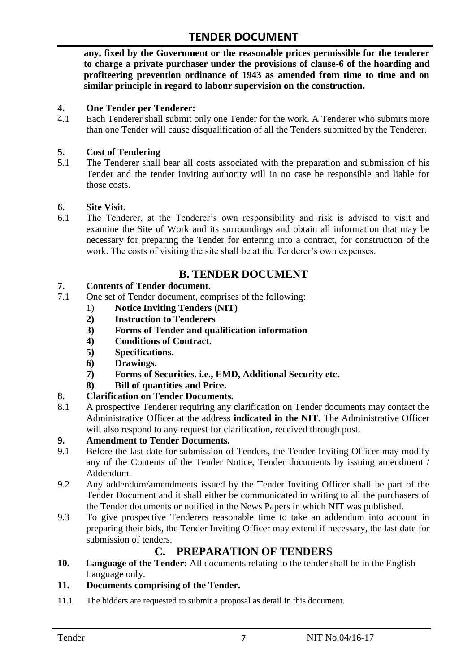**any, fixed by the Government or the reasonable prices permissible for the tenderer to charge a private purchaser under the provisions of clause-6 of the hoarding and profiteering prevention ordinance of 1943 as amended from time to time and on similar principle in regard to labour supervision on the construction.**

#### **4. One Tender per Tenderer:**

4.1 Each Tenderer shall submit only one Tender for the work. A Tenderer who submits more than one Tender will cause disqualification of all the Tenders submitted by the Tenderer.

### **5. Cost of Tendering**

5.1 The Tenderer shall bear all costs associated with the preparation and submission of his Tender and the tender inviting authority will in no case be responsible and liable for those costs.

#### **6. Site Visit.**

6.1 The Tenderer, at the Tenderer"s own responsibility and risk is advised to visit and examine the Site of Work and its surroundings and obtain all information that may be necessary for preparing the Tender for entering into a contract, for construction of the work. The costs of visiting the site shall be at the Tenderer's own expenses.

# **B. TENDER DOCUMENT**

#### **7. Contents of Tender document.**

- 7.1 One set of Tender document, comprises of the following:
	- 1) **Notice Inviting Tenders (NIT)**
	- **2) Instruction to Tenderers**
	- **3) Forms of Tender and qualification information**
	- **4) Conditions of Contract.**
	- **5) Specifications.**
	- **6) Drawings.**
	- **7) Forms of Securities. i.e., EMD, Additional Security etc.**
	- **8) Bill of quantities and Price.**

# **8. Clarification on Tender Documents.**

8.1 A prospective Tenderer requiring any clarification on Tender documents may contact the Administrative Officer at the address **indicated in the NIT**. The Administrative Officer will also respond to any request for clarification, received through post.

#### **9. Amendment to Tender Documents.**

- 9.1 Before the last date for submission of Tenders, the Tender Inviting Officer may modify any of the Contents of the Tender Notice, Tender documents by issuing amendment / Addendum.
- 9.2 Any addendum/amendments issued by the Tender Inviting Officer shall be part of the Tender Document and it shall either be communicated in writing to all the purchasers of the Tender documents or notified in the News Papers in which NIT was published.
- 9.3 To give prospective Tenderers reasonable time to take an addendum into account in preparing their bids, the Tender Inviting Officer may extend if necessary, the last date for submission of tenders.

# **C. PREPARATION OF TENDERS**

**10. Language of the Tender:** All documents relating to the tender shall be in the English Language only.

#### **11. Documents comprising of the Tender.**

11.1 The bidders are requested to submit a proposal as detail in this document.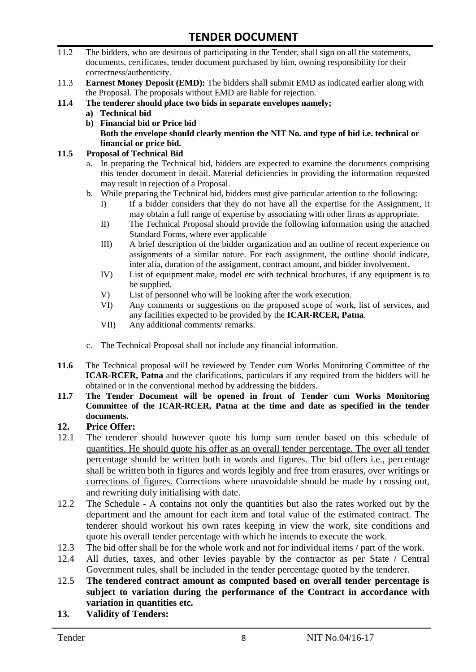- 11.2 The bidders, who are desirous of participating in the Tender, shall sign on all the statements, documents, certificates, tender document purchased by him, owning responsibility for their correctness/authenticity.
- 11.3 **Earnest Money Deposit (EMD):** The bidders shall submit EMD as indicated earlier along with the Proposal. The proposals without EMD are liable for rejection.
- **11.4 The tenderer should place two bids in separate envelopes namely;**
	- **a) Technical bid**
	- **b) Financial bid or Price bid Both the envelope should clearly mention the NIT No. and type of bid i.e. technical or financial or price bid.**

#### **11.5 Proposal of Technical Bid**

- a. In preparing the Technical bid, bidders are expected to examine the documents comprising this tender document in detail. Material deficiencies in providing the information requested may result in rejection of a Proposal.
- b. While preparing the Technical bid, bidders must give particular attention to the following:
	- I) If a bidder considers that they do not have all the expertise for the Assignment, it may obtain a full range of expertise by associating with other firms as appropriate.
	- II) The Technical Proposal should provide the following information using the attached Standard Forms, where ever applicable
	- III) A brief description of the bidder organization and an outline of recent experience on assignments of a similar nature. For each assignment, the outline should indicate, inter alia, duration of the assignment, contract amount, and bidder involvement.
	- IV) List of equipment make, model etc with technical brochures, if any equipment is to be supplied.
	- V) List of personnel who will be looking after the work execution.
	- VI) Any comments or suggestions on the proposed scope of work, list of services, and any facilities expected to be provided by the **ICAR-RCER, Patna**.
	- VII) Any additional comments/ remarks.
- c. The Technical Proposal shall not include any financial information.
- **11.6** The Technical proposal will be reviewed by Tender cum Works Monitoring Committee of the **ICAR-RCER, Patna** and the clarifications, particulars if any required from the bidders will be obtained or in the conventional method by addressing the bidders.
- **11.7 The Tender Document will be opened in front of Tender cum Works Monitoring Committee of the ICAR-RCER, Patna at the time and date as specified in the tender documents.**

#### **12. Price Offer:**

- 12.1 The tenderer should however quote his lump sum tender based on this schedule of quantities. He should quote his offer as an overall tender percentage. The over all tender percentage should be written both in words and figures. The bid offers i.e., percentage shall be written both in figures and words legibly and free from erasures, over writings or corrections of figures. Corrections where unavoidable should be made by crossing out, and rewriting duly initialising with date.
- 12.2 The Schedule A contains not only the quantities but also the rates worked out by the department and the amount for each item and total value of the estimated contract. The tenderer should workout his own rates keeping in view the work, site conditions and quote his overall tender percentage with which he intends to execute the work.
- 12.3 The bid offer shall be for the whole work and not for individual items / part of the work.
- 12.4 All duties, taxes, and other levies payable by the contractor as per State / Central Government rules, shall be included in the tender percentage quoted by the tenderer.
- 12.5 **The tendered contract amount as computed based on overall tender percentage is subject to variation during the performance of the Contract in accordance with variation in quantities etc.**
- **13. Validity of Tenders:**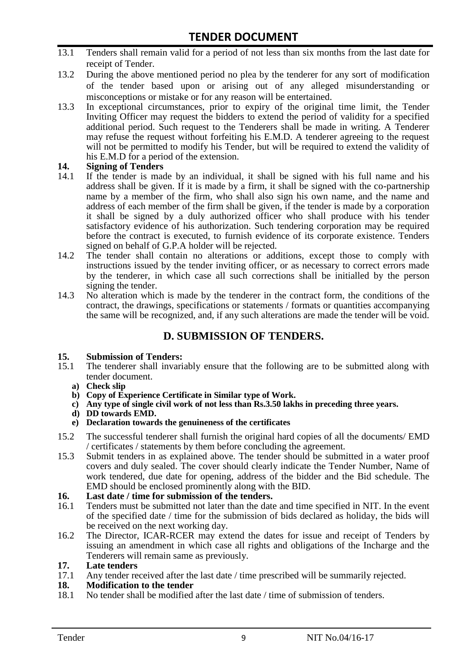- 13.1 Tenders shall remain valid for a period of not less than six months from the last date for receipt of Tender.
- 13.2 During the above mentioned period no plea by the tenderer for any sort of modification of the tender based upon or arising out of any alleged misunderstanding or misconceptions or mistake or for any reason will be entertained.
- 13.3 In exceptional circumstances, prior to expiry of the original time limit, the Tender Inviting Officer may request the bidders to extend the period of validity for a specified additional period. Such request to the Tenderers shall be made in writing. A Tenderer may refuse the request without forfeiting his E.M.D. A tenderer agreeing to the request will not be permitted to modify his Tender, but will be required to extend the validity of his E.M.D for a period of the extension.

# **14.** Signing of Tenders<br>14.1 If the tender is made

- If the tender is made by an individual, it shall be signed with his full name and his address shall be given. If it is made by a firm, it shall be signed with the co-partnership name by a member of the firm, who shall also sign his own name, and the name and address of each member of the firm shall be given, if the tender is made by a corporation it shall be signed by a duly authorized officer who shall produce with his tender satisfactory evidence of his authorization. Such tendering corporation may be required before the contract is executed, to furnish evidence of its corporate existence. Tenders signed on behalf of G.P.A holder will be rejected.
- 14.2 The tender shall contain no alterations or additions, except those to comply with instructions issued by the tender inviting officer, or as necessary to correct errors made by the tenderer, in which case all such corrections shall be initialled by the person signing the tender.
- 14.3 No alteration which is made by the tenderer in the contract form, the conditions of the contract, the drawings, specifications or statements / formats or quantities accompanying the same will be recognized, and, if any such alterations are made the tender will be void.

# **D. SUBMISSION OF TENDERS.**

#### **15. Submission of Tenders:**

- 15.1 The tenderer shall invariably ensure that the following are to be submitted along with tender document.
	- **a) Check slip**
	- **b) Copy of Experience Certificate in Similar type of Work.**
	- **c) Any type of single civil work of not less than Rs.3.50 lakhs in preceding three years.**
	- **d) DD towards EMD.**
	- **e) Declaration towards the genuineness of the certificates**
- 15.2 The successful tenderer shall furnish the original hard copies of all the documents/ EMD / certificates / statements by them before concluding the agreement.
- 15.3 Submit tenders in as explained above. The tender should be submitted in a water proof covers and duly sealed. The cover should clearly indicate the Tender Number, Name of work tendered, due date for opening, address of the bidder and the Bid schedule. The EMD should be enclosed prominently along with the BID.
- **16. Last date / time for submission of the tenders.**
- 16.1 Tenders must be submitted not later than the date and time specified in NIT. In the event of the specified date / time for the submission of bids declared as holiday, the bids will be received on the next working day.
- 16.2 The Director, ICAR-RCER may extend the dates for issue and receipt of Tenders by issuing an amendment in which case all rights and obligations of the Incharge and the Tenderers will remain same as previously.

#### **17. Late tenders**

17.1 Any tender received after the last date / time prescribed will be summarily rejected.

#### **18. Modification to the tender**

18.1 No tender shall be modified after the last date / time of submission of tenders.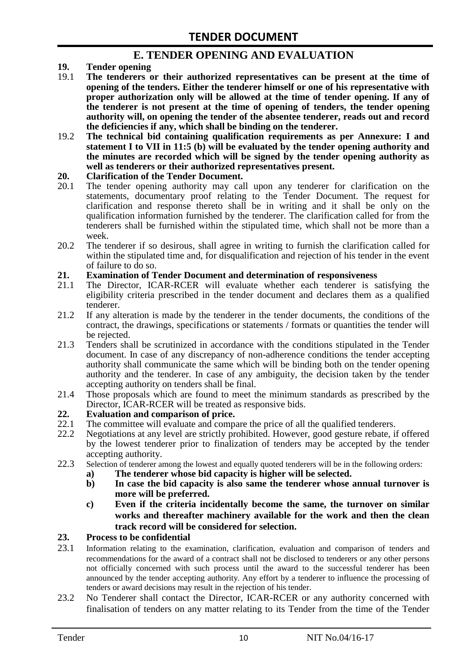# **E. TENDER OPENING AND EVALUATION**

- **19. Tender opening**
- 19.1 **The tenderers or their authorized representatives can be present at the time of opening of the tenders. Either the tenderer himself or one of his representative with proper authorization only will be allowed at the time of tender opening. If any of the tenderer is not present at the time of opening of tenders, the tender opening authority will, on opening the tender of the absentee tenderer, reads out and record the deficiencies if any, which shall be binding on the tenderer.**
- 19.2 **The technical bid containing qualification requirements as per Annexure: I and statement I to VII in 11:5 (b) will be evaluated by the tender opening authority and the minutes are recorded which will be signed by the tender opening authority as well as tenderers or their authorized representatives present.**

#### **20. Clarification of the Tender Document.**

- 20.1 The tender opening authority may call upon any tenderer for clarification on the statements, documentary proof relating to the Tender Document. The request for clarification and response thereto shall be in writing and it shall be only on the qualification information furnished by the tenderer. The clarification called for from the tenderers shall be furnished within the stipulated time, which shall not be more than a week.
- 20.2 The tenderer if so desirous, shall agree in writing to furnish the clarification called for within the stipulated time and, for disqualification and rejection of his tender in the event of failure to do so.

# **21. Examination of Tender Document and determination of responsiveness**

- 21.1 The Director, ICAR-RCER will evaluate whether each tenderer is satisfying the eligibility criteria prescribed in the tender document and declares them as a qualified tenderer.
- 21.2 If any alteration is made by the tenderer in the tender documents, the conditions of the contract, the drawings, specifications or statements / formats or quantities the tender will be rejected.
- 21.3 Tenders shall be scrutinized in accordance with the conditions stipulated in the Tender document. In case of any discrepancy of non-adherence conditions the tender accepting authority shall communicate the same which will be binding both on the tender opening authority and the tenderer. In case of any ambiguity, the decision taken by the tender accepting authority on tenders shall be final.
- 21.4 Those proposals which are found to meet the minimum standards as prescribed by the Director, ICAR-RCER will be treated as responsive bids.

# **22. Evaluation and comparison of price.**

- The committee will evaluate and compare the price of all the qualified tenderers.
- 22.2 Negotiations at any level are strictly prohibited. However, good gesture rebate, if offered by the lowest tenderer prior to finalization of tenders may be accepted by the tender accepting authority.
- 22.3 Selection of tenderer among the lowest and equally quoted tenderers will be in the following orders:
	- **a) The tenderer whose bid capacity is higher will be selected.**
	- **b) In case the bid capacity is also same the tenderer whose annual turnover is more will be preferred.**
	- **c) Even if the criteria incidentally become the same, the turnover on similar works and thereafter machinery available for the work and then the clean track record will be considered for selection.**

#### **23. Process to be confidential**

- 23.1 Information relating to the examination, clarification, evaluation and comparison of tenders and recommendations for the award of a contract shall not be disclosed to tenderers or any other persons not officially concerned with such process until the award to the successful tenderer has been announced by the tender accepting authority. Any effort by a tenderer to influence the processing of tenders or award decisions may result in the rejection of his tender.
- 23.2 No Tenderer shall contact the Director, ICAR-RCER or any authority concerned with finalisation of tenders on any matter relating to its Tender from the time of the Tender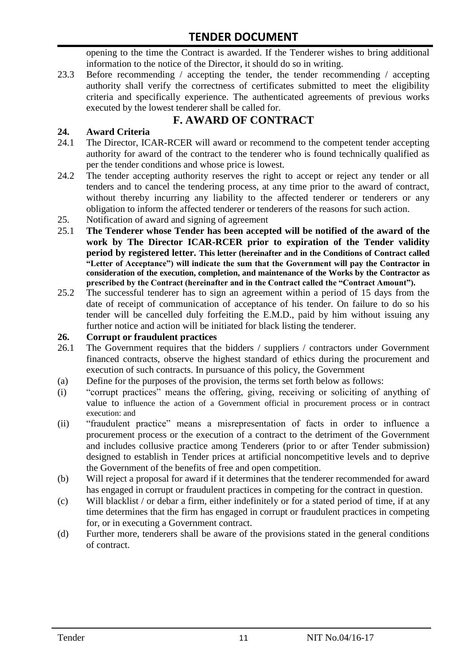opening to the time the Contract is awarded. If the Tenderer wishes to bring additional information to the notice of the Director, it should do so in writing.

23.3 Before recommending / accepting the tender, the tender recommending / accepting authority shall verify the correctness of certificates submitted to meet the eligibility criteria and specifically experience. The authenticated agreements of previous works executed by the lowest tenderer shall be called for.

# **F. AWARD OF CONTRACT**

# **24. Award Criteria**

- 24.1 The Director, ICAR-RCER will award or recommend to the competent tender accepting authority for award of the contract to the tenderer who is found technically qualified as per the tender conditions and whose price is lowest.
- 24.2 The tender accepting authority reserves the right to accept or reject any tender or all tenders and to cancel the tendering process, at any time prior to the award of contract, without thereby incurring any liability to the affected tenderer or tenderers or any obligation to inform the affected tenderer or tenderers of the reasons for such action.
- 25. Notification of award and signing of agreement
- 25.1 **The Tenderer whose Tender has been accepted will be notified of the award of the work by The Director ICAR-RCER prior to expiration of the Tender validity period by registered letter. This letter (hereinafter and in the Conditions of Contract called "Letter of Acceptance") will indicate the sum that the Government will pay the Contractor in consideration of the execution, completion, and maintenance of the Works by the Contractor as prescribed by the Contract (hereinafter and in the Contract called the "Contract Amount").**
- 25.2 The successful tenderer has to sign an agreement within a period of 15 days from the date of receipt of communication of acceptance of his tender. On failure to do so his tender will be cancelled duly forfeiting the E.M.D., paid by him without issuing any further notice and action will be initiated for black listing the tenderer.

#### **26. Corrupt or fraudulent practices**

- 26.1 The Government requires that the bidders / suppliers / contractors under Government financed contracts, observe the highest standard of ethics during the procurement and execution of such contracts. In pursuance of this policy, the Government
- (a) Define for the purposes of the provision, the terms set forth below as follows:
- (i) "corrupt practices" means the offering, giving, receiving or soliciting of anything of value to influence the action of a Government official in procurement process or in contract execution: and
- (ii) "fraudulent practice" means a misrepresentation of facts in order to influence a procurement process or the execution of a contract to the detriment of the Government and includes collusive practice among Tenderers (prior to or after Tender submission) designed to establish in Tender prices at artificial noncompetitive levels and to deprive the Government of the benefits of free and open competition.
- (b) Will reject a proposal for award if it determines that the tenderer recommended for award has engaged in corrupt or fraudulent practices in competing for the contract in question.
- (c) Will blacklist / or debar a firm, either indefinitely or for a stated period of time, if at any time determines that the firm has engaged in corrupt or fraudulent practices in competing for, or in executing a Government contract.
- (d) Further more, tenderers shall be aware of the provisions stated in the general conditions of contract.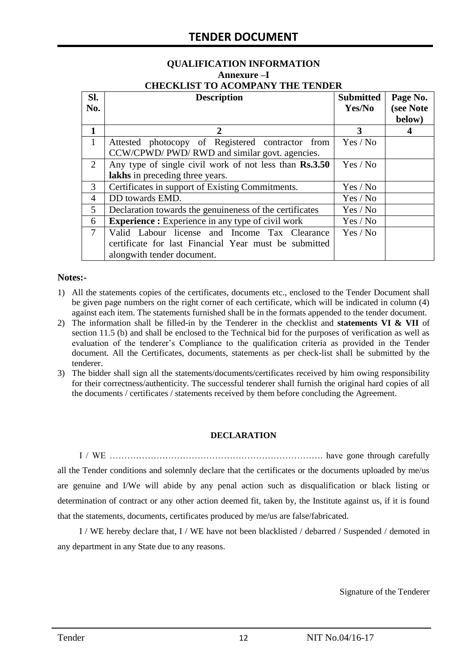#### **QUALIFICATION INFORMATION Annexure –I CHECKLIST TO ACOMPANY THE TENDER**

| SI.          | <b>Description</b>                                       | <b>Submitted</b> | Page No.            |
|--------------|----------------------------------------------------------|------------------|---------------------|
| No.          |                                                          | Yes/No           | (see Note<br>below) |
| 1            | $\mathcal{D}_{\cdot}$                                    | 3                |                     |
| $\mathbf{1}$ | Attested photocopy of Registered contractor from         | Yes / No         |                     |
|              | CCW/CPWD/ PWD/ RWD and similar govt. agencies.           |                  |                     |
| 2            | Any type of single civil work of not less than Rs.3.50   | Yes / No         |                     |
|              | lakhs in preceding three years.                          |                  |                     |
| 3            | Certificates in support of Existing Commitments.         | Yes / No         |                     |
| 4            | DD towards EMD.                                          | Yes / No         |                     |
| 5            | Declaration towards the genuineness of the certificates  | Yes / No         |                     |
| 6            | <b>Experience :</b> Experience in any type of civil work | Yes / No         |                     |
| 7            | Valid Labour license and Income Tax Clearance            | Yes / No         |                     |
|              | certificate for last Financial Year must be submitted    |                  |                     |
|              | alongwith tender document.                               |                  |                     |

#### **Notes:-**

- 1) All the statements copies of the certificates, documents etc., enclosed to the Tender Document shall be given page numbers on the right corner of each certificate, which will be indicated in column (4) against each item. The statements furnished shall be in the formats appended to the tender document.
- 2) The information shall be filled-in by the Tenderer in the checklist and **statements VI & VII** of section 11.5 (b) and shall be enclosed to the Technical bid for the purposes of verification as well as evaluation of the tenderer"s Compliance to the qualification criteria as provided in the Tender document. All the Certificates, documents, statements as per check-list shall be submitted by the tenderer.
- 3) The bidder shall sign all the statements/documents/certificates received by him owing responsibility for their correctness/authenticity. The successful tenderer shall furnish the original hard copies of all the documents / certificates / statements received by them before concluding the Agreement.

#### **DECLARATION**

I / WE ………………………………………………………………. have gone through carefully all the Tender conditions and solemnly declare that the certificates or the documents uploaded by me/us are genuine and I/We will abide by any penal action such as disqualification or black listing or determination of contract or any other action deemed fit, taken by, the Institute against us, if it is found that the statements, documents, certificates produced by me/us are false/fabricated.

I / WE hereby declare that, I / WE have not been blacklisted / debarred / Suspended / demoted in any department in any State due to any reasons.

Signature of the Tenderer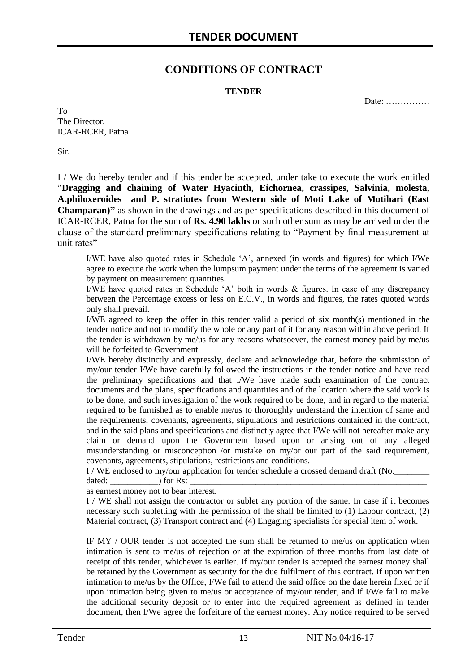# **CONDITIONS OF CONTRACT**

#### **TENDER**

Date: ……………

To The Director, ICAR-RCER, Patna

Sir,

I / We do hereby tender and if this tender be accepted, under take to execute the work entitled "**Dragging and chaining of Water Hyacinth, Eichornea, crassipes, Salvinia, molesta, A.philoxeroides and P. stratiotes from Western side of Moti Lake of Motihari (East Champaran)"** as shown in the drawings and as per specifications described in this document of ICAR-RCER, Patna for the sum of **Rs. 4.90 lakhs** or such other sum as may be arrived under the clause of the standard preliminary specifications relating to "Payment by final measurement at unit rates"

I/WE have also quoted rates in Schedule "A", annexed (in words and figures) for which I/We agree to execute the work when the lumpsum payment under the terms of the agreement is varied by payment on measurement quantities.

I/WE have quoted rates in Schedule "A" both in words & figures. In case of any discrepancy between the Percentage excess or less on E.C.V., in words and figures, the rates quoted words only shall prevail.

I/WE agreed to keep the offer in this tender valid a period of six month(s) mentioned in the tender notice and not to modify the whole or any part of it for any reason within above period. If the tender is withdrawn by me/us for any reasons whatsoever, the earnest money paid by me/us will be forfeited to Government

I/WE hereby distinctly and expressly, declare and acknowledge that, before the submission of my/our tender I/We have carefully followed the instructions in the tender notice and have read the preliminary specifications and that I/We have made such examination of the contract documents and the plans, specifications and quantities and of the location where the said work is to be done, and such investigation of the work required to be done, and in regard to the material required to be furnished as to enable me/us to thoroughly understand the intention of same and the requirements, covenants, agreements, stipulations and restrictions contained in the contract, and in the said plans and specifications and distinctly agree that I/We will not hereafter make any claim or demand upon the Government based upon or arising out of any alleged misunderstanding or misconception /or mistake on my/or our part of the said requirement, covenants, agreements, stipulations, restrictions and conditions.

I / WE enclosed to my/our application for tender schedule a crossed demand draft (No.

dated: \_\_\_\_\_\_\_\_\_\_\_) for Rs: \_\_\_\_\_\_\_\_\_\_\_\_\_\_\_\_\_\_\_\_\_\_\_\_\_\_\_\_\_\_\_\_\_\_\_\_\_\_\_\_\_\_\_\_\_\_\_\_\_\_\_\_\_\_

as earnest money not to bear interest.

I / WE shall not assign the contractor or sublet any portion of the same. In case if it becomes necessary such subletting with the permission of the shall be limited to (1) Labour contract, (2) Material contract, (3) Transport contract and (4) Engaging specialists for special item of work.

IF MY / OUR tender is not accepted the sum shall be returned to me/us on application when intimation is sent to me/us of rejection or at the expiration of three months from last date of receipt of this tender, whichever is earlier. If my/our tender is accepted the earnest money shall be retained by the Government as security for the due fulfilment of this contract. If upon written intimation to me/us by the Office, I/We fail to attend the said office on the date herein fixed or if upon intimation being given to me/us or acceptance of my/our tender, and if I/We fail to make the additional security deposit or to enter into the required agreement as defined in tender document, then I/We agree the forfeiture of the earnest money. Any notice required to be served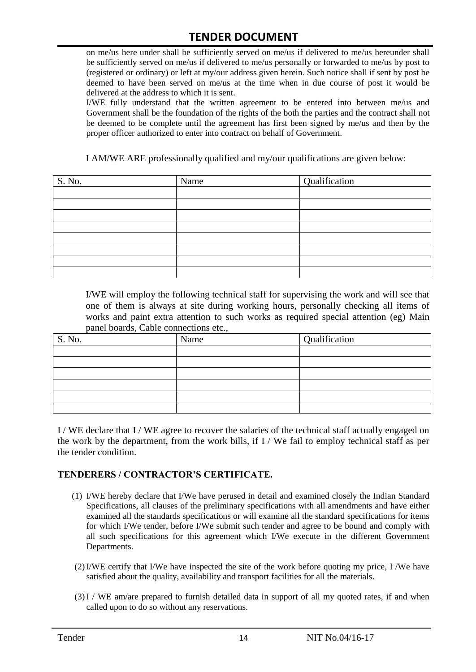on me/us here under shall be sufficiently served on me/us if delivered to me/us hereunder shall be sufficiently served on me/us if delivered to me/us personally or forwarded to me/us by post to (registered or ordinary) or left at my/our address given herein. Such notice shall if sent by post be deemed to have been served on me/us at the time when in due course of post it would be delivered at the address to which it is sent.

I/WE fully understand that the written agreement to be entered into between me/us and Government shall be the foundation of the rights of the both the parties and the contract shall not be deemed to be complete until the agreement has first been signed by me/us and then by the proper officer authorized to enter into contract on behalf of Government.

I AM/WE ARE professionally qualified and my/our qualifications are given below:

| S. No. | Name | Qualification |
|--------|------|---------------|
|        |      |               |
|        |      |               |
|        |      |               |
|        |      |               |
|        |      |               |
|        |      |               |
|        |      |               |
|        |      |               |

I/WE will employ the following technical staff for supervising the work and will see that one of them is always at site during working hours, personally checking all items of works and paint extra attention to such works as required special attention (eg) Main panel boards, Cable connections etc.,

| S. No. | Name | Qualification |
|--------|------|---------------|
|        |      |               |
|        |      |               |
|        |      |               |
|        |      |               |
|        |      |               |
|        |      |               |

I / WE declare that I / WE agree to recover the salaries of the technical staff actually engaged on the work by the department, from the work bills, if I / We fail to employ technical staff as per the tender condition.

#### **TENDERERS / CONTRACTOR'S CERTIFICATE.**

- (1) I/WE hereby declare that I/We have perused in detail and examined closely the Indian Standard Specifications, all clauses of the preliminary specifications with all amendments and have either examined all the standards specifications or will examine all the standard specifications for items for which I/We tender, before I/We submit such tender and agree to be bound and comply with all such specifications for this agreement which I/We execute in the different Government Departments.
- (2)I/WE certify that I/We have inspected the site of the work before quoting my price, I /We have satisfied about the quality, availability and transport facilities for all the materials.
- (3)I / WE am/are prepared to furnish detailed data in support of all my quoted rates, if and when called upon to do so without any reservations.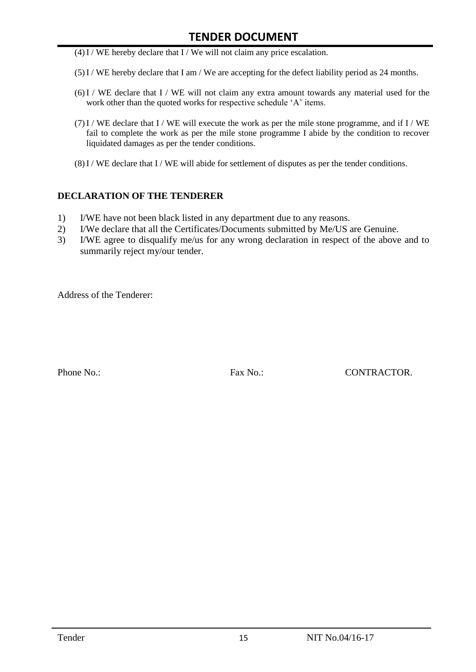- $(4)$ I / WE hereby declare that I / We will not claim any price escalation.
- (5)I / WE hereby declare that I am / We are accepting for the defect liability period as 24 months.
- (6)I / WE declare that I / WE will not claim any extra amount towards any material used for the work other than the quoted works for respective schedule 'A' items.
- (7)I / WE declare that I / WE will execute the work as per the mile stone programme, and if I / WE fail to complete the work as per the mile stone programme I abide by the condition to recover liquidated damages as per the tender conditions.
- $(8)$ I / WE declare that I / WE will abide for settlement of disputes as per the tender conditions.

#### **DECLARATION OF THE TENDERER**

- 1) I/WE have not been black listed in any department due to any reasons.
- 2) I/We declare that all the Certificates/Documents submitted by Me/US are Genuine.
- 3) I/WE agree to disqualify me/us for any wrong declaration in respect of the above and to summarily reject my/our tender.

Address of the Tenderer:

Phone No.: Fax No.: Except CONTRACTOR.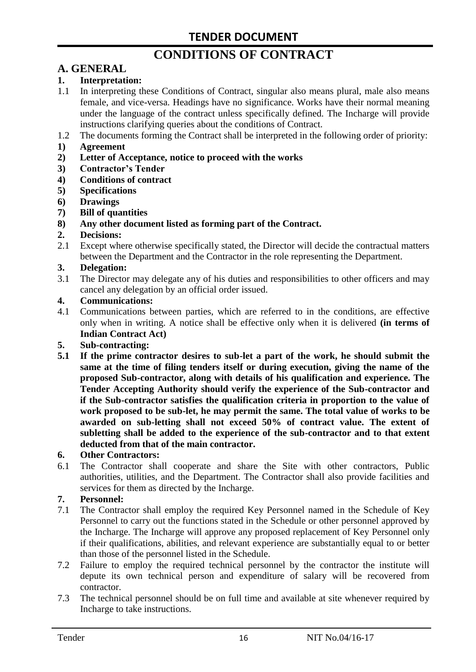# **CONDITIONS OF CONTRACT**

# **A. GENERAL**

#### **1. Interpretation:**

- 1.1 In interpreting these Conditions of Contract, singular also means plural, male also means female, and vice-versa. Headings have no significance. Works have their normal meaning under the language of the contract unless specifically defined. The Incharge will provide instructions clarifying queries about the conditions of Contract.
- 1.2 The documents forming the Contract shall be interpreted in the following order of priority:
- **1) Agreement**
- **2) Letter of Acceptance, notice to proceed with the works**
- **3) Contractor's Tender**
- **4) Conditions of contract**
- **5) Specifications**
- **6) Drawings**
- **7) Bill of quantities**
- **8) Any other document listed as forming part of the Contract.**

#### **2. Decisions:**

2.1 Except where otherwise specifically stated, the Director will decide the contractual matters between the Department and the Contractor in the role representing the Department.

#### **3. Delegation:**

3.1 The Director may delegate any of his duties and responsibilities to other officers and may cancel any delegation by an official order issued.

#### **4. Communications:**

4.1 Communications between parties, which are referred to in the conditions, are effective only when in writing. A notice shall be effective only when it is delivered **(in terms of Indian Contract Act)**

#### **5. Sub-contracting:**

**5.1 If the prime contractor desires to sub-let a part of the work, he should submit the same at the time of filing tenders itself or during execution, giving the name of the proposed Sub-contractor, along with details of his qualification and experience. The Tender Accepting Authority should verify the experience of the Sub-contractor and if the Sub-contractor satisfies the qualification criteria in proportion to the value of work proposed to be sub-let, he may permit the same. The total value of works to be awarded on sub-letting shall not exceed 50% of contract value. The extent of subletting shall be added to the experience of the sub-contractor and to that extent deducted from that of the main contractor.**

#### **6. Other Contractors:**

6.1 The Contractor shall cooperate and share the Site with other contractors, Public authorities, utilities, and the Department. The Contractor shall also provide facilities and services for them as directed by the Incharge.

#### **7. Personnel:**

- 7.1 The Contractor shall employ the required Key Personnel named in the Schedule of Key Personnel to carry out the functions stated in the Schedule or other personnel approved by the Incharge. The Incharge will approve any proposed replacement of Key Personnel only if their qualifications, abilities, and relevant experience are substantially equal to or better than those of the personnel listed in the Schedule.
- 7.2 Failure to employ the required technical personnel by the contractor the institute will depute its own technical person and expenditure of salary will be recovered from contractor.
- 7.3 The technical personnel should be on full time and available at site whenever required by Incharge to take instructions.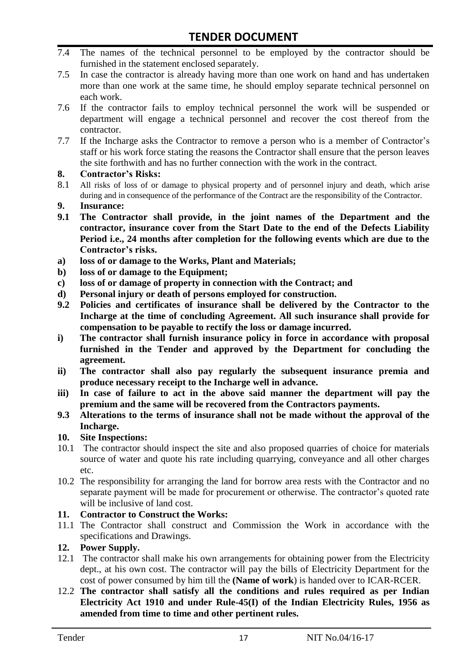- 7.4 The names of the technical personnel to be employed by the contractor should be furnished in the statement enclosed separately.
- 7.5 In case the contractor is already having more than one work on hand and has undertaken more than one work at the same time, he should employ separate technical personnel on each work.
- 7.6 If the contractor fails to employ technical personnel the work will be suspended or department will engage a technical personnel and recover the cost thereof from the contractor.
- 7.7 If the Incharge asks the Contractor to remove a person who is a member of Contractor"s staff or his work force stating the reasons the Contractor shall ensure that the person leaves the site forthwith and has no further connection with the work in the contract.

#### **8. Contractor's Risks:**

- 8.1 All risks of loss of or damage to physical property and of personnel injury and death, which arise during and in consequence of the performance of the Contract are the responsibility of the Contractor.
- **9. Insurance:**
- **9.1 The Contractor shall provide, in the joint names of the Department and the contractor, insurance cover from the Start Date to the end of the Defects Liability Period i.e., 24 months after completion for the following events which are due to the Contractor's risks.**
- **a) loss of or damage to the Works, Plant and Materials;**
- **b) loss of or damage to the Equipment;**
- **c) loss of or damage of property in connection with the Contract; and**
- **d) Personal injury or death of persons employed for construction.**
- **9.2 Policies and certificates of insurance shall be delivered by the Contractor to the Incharge at the time of concluding Agreement. All such insurance shall provide for compensation to be payable to rectify the loss or damage incurred.**
- **i) The contractor shall furnish insurance policy in force in accordance with proposal furnished in the Tender and approved by the Department for concluding the agreement.**
- **ii) The contractor shall also pay regularly the subsequent insurance premia and produce necessary receipt to the Incharge well in advance.**
- **iii) In case of failure to act in the above said manner the department will pay the premium and the same will be recovered from the Contractors payments.**
- **9.3 Alterations to the terms of insurance shall not be made without the approval of the Incharge.**

# **10. Site Inspections:**

- 10.1 The contractor should inspect the site and also proposed quarries of choice for materials source of water and quote his rate including quarrying, conveyance and all other charges etc.
- 10.2 The responsibility for arranging the land for borrow area rests with the Contractor and no separate payment will be made for procurement or otherwise. The contractor's quoted rate will be inclusive of land cost.

# **11. Contractor to Construct the Works:**

11.1 The Contractor shall construct and Commission the Work in accordance with the specifications and Drawings.

# **12. Power Supply.**

- 12.1 The contractor shall make his own arrangements for obtaining power from the Electricity dept., at his own cost. The contractor will pay the bills of Electricity Department for the cost of power consumed by him till the **(Name of work**) is handed over to ICAR-RCER.
- 12.2 **The contractor shall satisfy all the conditions and rules required as per Indian Electricity Act 1910 and under Rule-45(I) of the Indian Electricity Rules, 1956 as amended from time to time and other pertinent rules.**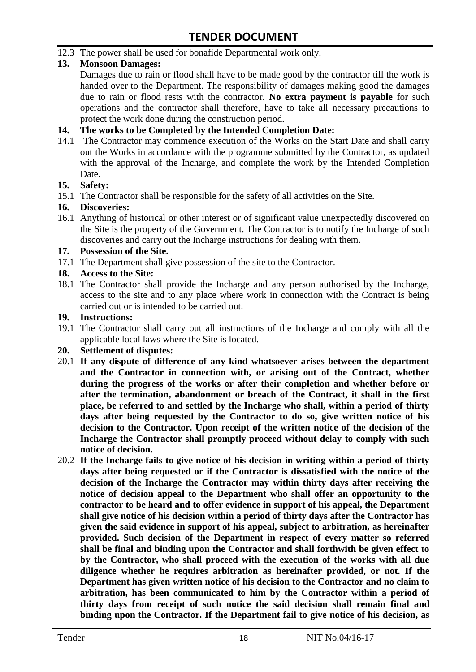12.3 The power shall be used for bonafide Departmental work only.

# **13. Monsoon Damages:**

Damages due to rain or flood shall have to be made good by the contractor till the work is handed over to the Department. The responsibility of damages making good the damages due to rain or flood rests with the contractor. **No extra payment is payable** for such operations and the contractor shall therefore, have to take all necessary precautions to protect the work done during the construction period.

#### **14. The works to be Completed by the Intended Completion Date:**

14.1 The Contractor may commence execution of the Works on the Start Date and shall carry out the Works in accordance with the programme submitted by the Contractor, as updated with the approval of the Incharge, and complete the work by the Intended Completion Date.

#### **15. Safety:**

15.1 The Contractor shall be responsible for the safety of all activities on the Site.

#### **16. Discoveries:**

16.1 Anything of historical or other interest or of significant value unexpectedly discovered on the Site is the property of the Government. The Contractor is to notify the Incharge of such discoveries and carry out the Incharge instructions for dealing with them.

#### **17. Possession of the Site.**

17.1 The Department shall give possession of the site to the Contractor.

# **18. Access to the Site:**

18.1 The Contractor shall provide the Incharge and any person authorised by the Incharge, access to the site and to any place where work in connection with the Contract is being carried out or is intended to be carried out.

#### **19. Instructions:**

- 19.1 The Contractor shall carry out all instructions of the Incharge and comply with all the applicable local laws where the Site is located.
- **20. Settlement of disputes:**
- 20.1 **If any dispute of difference of any kind whatsoever arises between the department and the Contractor in connection with, or arising out of the Contract, whether during the progress of the works or after their completion and whether before or after the termination, abandonment or breach of the Contract, it shall in the first place, be referred to and settled by the Incharge who shall, within a period of thirty days after being requested by the Contractor to do so, give written notice of his decision to the Contractor. Upon receipt of the written notice of the decision of the Incharge the Contractor shall promptly proceed without delay to comply with such notice of decision.**
- 20.2 **If the Incharge fails to give notice of his decision in writing within a period of thirty days after being requested or if the Contractor is dissatisfied with the notice of the decision of the Incharge the Contractor may within thirty days after receiving the notice of decision appeal to the Department who shall offer an opportunity to the contractor to be heard and to offer evidence in support of his appeal, the Department shall give notice of his decision within a period of thirty days after the Contractor has given the said evidence in support of his appeal, subject to arbitration, as hereinafter provided. Such decision of the Department in respect of every matter so referred shall be final and binding upon the Contractor and shall forthwith be given effect to by the Contractor, who shall proceed with the execution of the works with all due diligence whether he requires arbitration as hereinafter provided, or not. If the Department has given written notice of his decision to the Contractor and no claim to arbitration, has been communicated to him by the Contractor within a period of thirty days from receipt of such notice the said decision shall remain final and binding upon the Contractor. If the Department fail to give notice of his decision, as**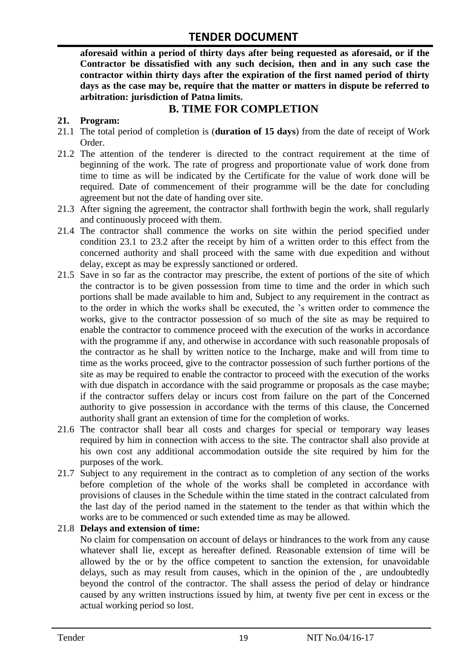**aforesaid within a period of thirty days after being requested as aforesaid, or if the Contractor be dissatisfied with any such decision, then and in any such case the contractor within thirty days after the expiration of the first named period of thirty days as the case may be, require that the matter or matters in dispute be referred to arbitration: jurisdiction of Patna limits.**

# **B. TIME FOR COMPLETION**

# **21. Program:**

- 21.1 The total period of completion is (**duration of 15 days**) from the date of receipt of Work Order.
- 21.2 The attention of the tenderer is directed to the contract requirement at the time of beginning of the work. The rate of progress and proportionate value of work done from time to time as will be indicated by the Certificate for the value of work done will be required. Date of commencement of their programme will be the date for concluding agreement but not the date of handing over site.
- 21.3 After signing the agreement, the contractor shall forthwith begin the work, shall regularly and continuously proceed with them.
- 21.4 The contractor shall commence the works on site within the period specified under condition 23.1 to 23.2 after the receipt by him of a written order to this effect from the concerned authority and shall proceed with the same with due expedition and without delay, except as may be expressly sanctioned or ordered.
- 21.5 Save in so far as the contractor may prescribe, the extent of portions of the site of which the contractor is to be given possession from time to time and the order in which such portions shall be made available to him and, Subject to any requirement in the contract as to the order in which the works shall be executed, the "s written order to commence the works, give to the contractor possession of so much of the site as may be required to enable the contractor to commence proceed with the execution of the works in accordance with the programme if any, and otherwise in accordance with such reasonable proposals of the contractor as he shall by written notice to the Incharge, make and will from time to time as the works proceed, give to the contractor possession of such further portions of the site as may be required to enable the contractor to proceed with the execution of the works with due dispatch in accordance with the said programme or proposals as the case maybe; if the contractor suffers delay or incurs cost from failure on the part of the Concerned authority to give possession in accordance with the terms of this clause, the Concerned authority shall grant an extension of time for the completion of works.
- 21.6 The contractor shall bear all costs and charges for special or temporary way leases required by him in connection with access to the site. The contractor shall also provide at his own cost any additional accommodation outside the site required by him for the purposes of the work.
- 21.7 Subject to any requirement in the contract as to completion of any section of the works before completion of the whole of the works shall be completed in accordance with provisions of clauses in the Schedule within the time stated in the contract calculated from the last day of the period named in the statement to the tender as that within which the works are to be commenced or such extended time as may be allowed.

# 21.8 **Delays and extension of time:**

No claim for compensation on account of delays or hindrances to the work from any cause whatever shall lie, except as hereafter defined. Reasonable extension of time will be allowed by the or by the office competent to sanction the extension, for unavoidable delays, such as may result from causes, which in the opinion of the , are undoubtedly beyond the control of the contractor. The shall assess the period of delay or hindrance caused by any written instructions issued by him, at twenty five per cent in excess or the actual working period so lost.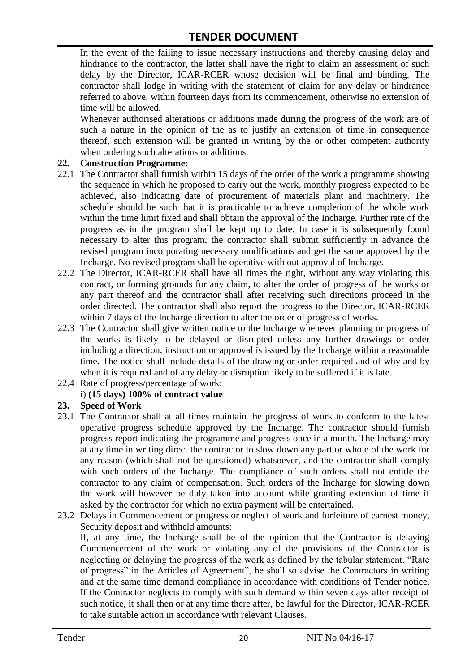In the event of the failing to issue necessary instructions and thereby causing delay and hindrance to the contractor, the latter shall have the right to claim an assessment of such delay by the Director, ICAR-RCER whose decision will be final and binding. The contractor shall lodge in writing with the statement of claim for any delay or hindrance referred to above, within fourteen days from its commencement, otherwise no extension of time will be allowed.

Whenever authorised alterations or additions made during the progress of the work are of such a nature in the opinion of the as to justify an extension of time in consequence thereof, such extension will be granted in writing by the or other competent authority when ordering such alterations or additions.

#### **22. Construction Programme:**

- 22.1 The Contractor shall furnish within 15 days of the order of the work a programme showing the sequence in which he proposed to carry out the work, monthly progress expected to be achieved, also indicating date of procurement of materials plant and machinery. The schedule should be such that it is practicable to achieve completion of the whole work within the time limit fixed and shall obtain the approval of the Incharge. Further rate of the progress as in the program shall be kept up to date. In case it is subsequently found necessary to alter this program, the contractor shall submit sufficiently in advance the revised program incorporating necessary modifications and get the same approved by the Incharge. No revised program shall be operative with out approval of Incharge.
- 22.2 The Director, ICAR-RCER shall have all times the right, without any way violating this contract, or forming grounds for any claim, to alter the order of progress of the works or any part thereof and the contractor shall after receiving such directions proceed in the order directed. The contractor shall also report the progress to the Director, ICAR-RCER within 7 days of the Incharge direction to alter the order of progress of works.
- 22.3 The Contractor shall give written notice to the Incharge whenever planning or progress of the works is likely to be delayed or disrupted unless any further drawings or order including a direction, instruction or approval is issued by the Incharge within a reasonable time. The notice shall include details of the drawing or order required and of why and by when it is required and of any delay or disruption likely to be suffered if it is late.
- 22.4 Rate of progress/percentage of work:

# i) **(15 days) 100% of contract value**

#### **23. Speed of Work**

- 23.1 The Contractor shall at all times maintain the progress of work to conform to the latest operative progress schedule approved by the Incharge. The contractor should furnish progress report indicating the programme and progress once in a month. The Incharge may at any time in writing direct the contractor to slow down any part or whole of the work for any reason (which shall not be questioned) whatsoever, and the contractor shall comply with such orders of the Incharge. The compliance of such orders shall not entitle the contractor to any claim of compensation. Such orders of the Incharge for slowing down the work will however be duly taken into account while granting extension of time if asked by the contractor for which no extra payment will be entertained.
- 23.2 Delays in Commencement or progress or neglect of work and forfeiture of earnest money, Security deposit and withheld amounts:

If, at any time, the Incharge shall be of the opinion that the Contractor is delaying Commencement of the work or violating any of the provisions of the Contractor is neglecting or delaying the progress of the work as defined by the tabular statement. "Rate of progress" in the Articles of Agreement", he shall so advise the Contractors in writing and at the same time demand compliance in accordance with conditions of Tender notice. If the Contractor neglects to comply with such demand within seven days after receipt of such notice, it shall then or at any time there after, be lawful for the Director, ICAR-RCER to take suitable action in accordance with relevant Clauses.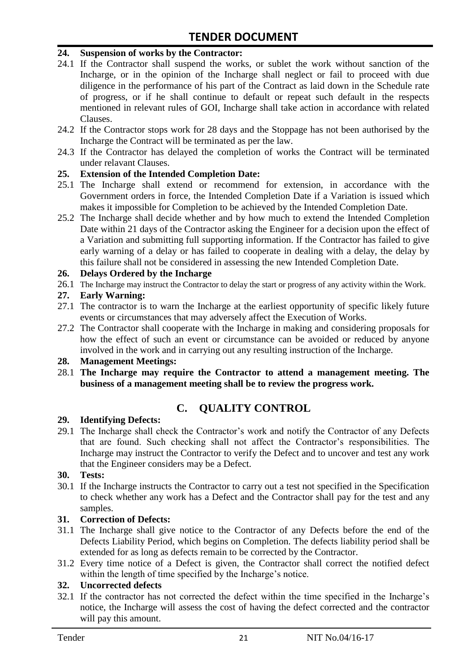#### **24. Suspension of works by the Contractor:**

- 24.1 If the Contractor shall suspend the works, or sublet the work without sanction of the Incharge, or in the opinion of the Incharge shall neglect or fail to proceed with due diligence in the performance of his part of the Contract as laid down in the Schedule rate of progress, or if he shall continue to default or repeat such default in the respects mentioned in relevant rules of GOI, Incharge shall take action in accordance with related Clauses.
- 24.2 If the Contractor stops work for 28 days and the Stoppage has not been authorised by the Incharge the Contract will be terminated as per the law.
- 24.3 If the Contractor has delayed the completion of works the Contract will be terminated under relavant Clauses.

#### **25. Extension of the Intended Completion Date:**

- 25.1 The Incharge shall extend or recommend for extension, in accordance with the Government orders in force, the Intended Completion Date if a Variation is issued which makes it impossible for Completion to be achieved by the Intended Completion Date.
- 25.2 The Incharge shall decide whether and by how much to extend the Intended Completion Date within 21 days of the Contractor asking the Engineer for a decision upon the effect of a Variation and submitting full supporting information. If the Contractor has failed to give early warning of a delay or has failed to cooperate in dealing with a delay, the delay by this failure shall not be considered in assessing the new Intended Completion Date.

#### **26. Delays Ordered by the Incharge**

26.1 The Incharge may instruct the Contractor to delay the start or progress of any activity within the Work.

#### **27. Early Warning:**

- 27.1 The contractor is to warn the Incharge at the earliest opportunity of specific likely future events or circumstances that may adversely affect the Execution of Works.
- 27.2 The Contractor shall cooperate with the Incharge in making and considering proposals for how the effect of such an event or circumstance can be avoided or reduced by anyone involved in the work and in carrying out any resulting instruction of the Incharge.

#### **28. Management Meetings:**

28.1 **The Incharge may require the Contractor to attend a management meeting. The business of a management meeting shall be to review the progress work.**

# **C. QUALITY CONTROL**

#### **29. Identifying Defects:**

29.1 The Incharge shall check the Contractor's work and notify the Contractor of any Defects that are found. Such checking shall not affect the Contractor"s responsibilities. The Incharge may instruct the Contractor to verify the Defect and to uncover and test any work that the Engineer considers may be a Defect.

#### **30. Tests:**

30.1 If the Incharge instructs the Contractor to carry out a test not specified in the Specification to check whether any work has a Defect and the Contractor shall pay for the test and any samples.

#### **31. Correction of Defects:**

- 31.1 The Incharge shall give notice to the Contractor of any Defects before the end of the Defects Liability Period, which begins on Completion. The defects liability period shall be extended for as long as defects remain to be corrected by the Contractor.
- 31.2 Every time notice of a Defect is given, the Contractor shall correct the notified defect within the length of time specified by the Incharge's notice.

# **32. Uncorrected defects**

32.1 If the contractor has not corrected the defect within the time specified in the Incharge"s notice, the Incharge will assess the cost of having the defect corrected and the contractor will pay this amount.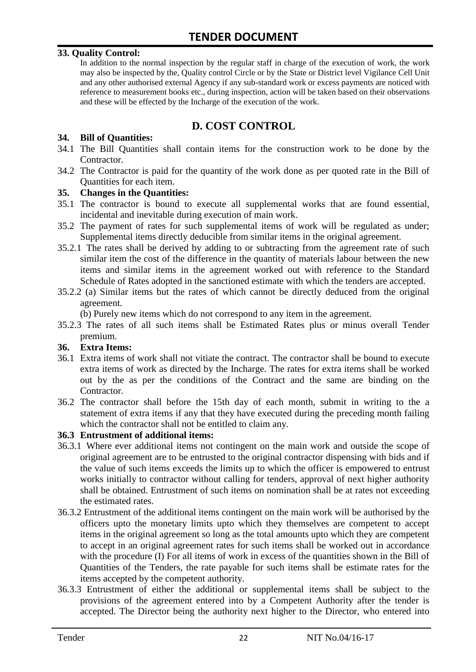#### **33. Quality Control:**

In addition to the normal inspection by the regular staff in charge of the execution of work, the work may also be inspected by the, Quality control Circle or by the State or District level Vigilance Cell Unit and any other authorised external Agency if any sub-standard work or excess payments are noticed with reference to measurement books etc., during inspection, action will be taken based on their observations and these will be effected by the Incharge of the execution of the work.

# **D. COST CONTROL**

#### **34. Bill of Quantities:**

- 34.1 The Bill Quantities shall contain items for the construction work to be done by the Contractor.
- 34.2 The Contractor is paid for the quantity of the work done as per quoted rate in the Bill of Quantities for each item.

#### **35. Changes in the Quantities:**

- 35.1 The contractor is bound to execute all supplemental works that are found essential, incidental and inevitable during execution of main work.
- 35.2 The payment of rates for such supplemental items of work will be regulated as under; Supplemental items directly deducible from similar items in the original agreement.
- 35.2.1 The rates shall be derived by adding to or subtracting from the agreement rate of such similar item the cost of the difference in the quantity of materials labour between the new items and similar items in the agreement worked out with reference to the Standard Schedule of Rates adopted in the sanctioned estimate with which the tenders are accepted.
- 35.2.2 (a) Similar items but the rates of which cannot be directly deduced from the original agreement.

(b) Purely new items which do not correspond to any item in the agreement.

35.2.3 The rates of all such items shall be Estimated Rates plus or minus overall Tender premium.

#### **36. Extra Items:**

- 36.1 Extra items of work shall not vitiate the contract. The contractor shall be bound to execute extra items of work as directed by the Incharge. The rates for extra items shall be worked out by the as per the conditions of the Contract and the same are binding on the Contractor.
- 36.2 The contractor shall before the 15th day of each month, submit in writing to the a statement of extra items if any that they have executed during the preceding month failing which the contractor shall not be entitled to claim any.

#### **36.3 Entrustment of additional items:**

- 36.3.1 Where ever additional items not contingent on the main work and outside the scope of original agreement are to be entrusted to the original contractor dispensing with bids and if the value of such items exceeds the limits up to which the officer is empowered to entrust works initially to contractor without calling for tenders, approval of next higher authority shall be obtained. Entrustment of such items on nomination shall be at rates not exceeding the estimated rates.
- 36.3.2 Entrustment of the additional items contingent on the main work will be authorised by the officers upto the monetary limits upto which they themselves are competent to accept items in the original agreement so long as the total amounts upto which they are competent to accept in an original agreement rates for such items shall be worked out in accordance with the procedure (I) For all items of work in excess of the quantities shown in the Bill of Quantities of the Tenders, the rate payable for such items shall be estimate rates for the items accepted by the competent authority.
- 36.3.3 Entrustment of either the additional or supplemental items shall be subject to the provisions of the agreement entered into by a Competent Authority after the tender is accepted. The Director being the authority next higher to the Director, who entered into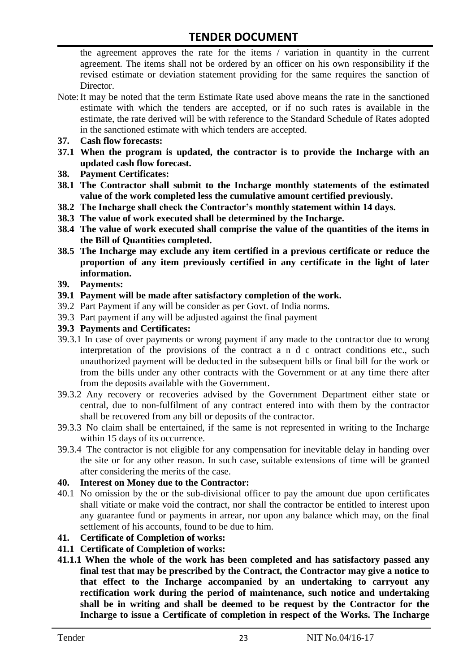the agreement approves the rate for the items / variation in quantity in the current agreement. The items shall not be ordered by an officer on his own responsibility if the revised estimate or deviation statement providing for the same requires the sanction of Director.

- Note:It may be noted that the term Estimate Rate used above means the rate in the sanctioned estimate with which the tenders are accepted, or if no such rates is available in the estimate, the rate derived will be with reference to the Standard Schedule of Rates adopted in the sanctioned estimate with which tenders are accepted.
- **37. Cash flow forecasts:**
- **37.1 When the program is updated, the contractor is to provide the Incharge with an updated cash flow forecast.**
- **38. Payment Certificates:**
- **38.1 The Contractor shall submit to the Incharge monthly statements of the estimated value of the work completed less the cumulative amount certified previously.**
- **38.2 The Incharge shall check the Contractor's monthly statement within 14 days.**
- **38.3 The value of work executed shall be determined by the Incharge.**
- **38.4 The value of work executed shall comprise the value of the quantities of the items in the Bill of Quantities completed.**
- **38.5 The Incharge may exclude any item certified in a previous certificate or reduce the proportion of any item previously certified in any certificate in the light of later information.**
- **39. Payments:**
- **39.1 Payment will be made after satisfactory completion of the work.**
- 39.2 Part Payment if any will be consider as per Govt. of India norms.
- 39.3 Part payment if any will be adjusted against the final payment
- **39.3 Payments and Certificates:**
- 39.3.1 In case of over payments or wrong payment if any made to the contractor due to wrong interpretation of the provisions of the contract a n d c ontract conditions etc., such unauthorized payment will be deducted in the subsequent bills or final bill for the work or from the bills under any other contracts with the Government or at any time there after from the deposits available with the Government.
- 39.3.2 Any recovery or recoveries advised by the Government Department either state or central, due to non-fulfilment of any contract entered into with them by the contractor shall be recovered from any bill or deposits of the contractor.
- 39.3.3 No claim shall be entertained, if the same is not represented in writing to the Incharge within 15 days of its occurrence.
- 39.3.4 The contractor is not eligible for any compensation for inevitable delay in handing over the site or for any other reason. In such case, suitable extensions of time will be granted after considering the merits of the case.

#### **40. Interest on Money due to the Contractor:**

- 40.1 No omission by the or the sub-divisional officer to pay the amount due upon certificates shall vitiate or make void the contract, nor shall the contractor be entitled to interest upon any guarantee fund or payments in arrear, nor upon any balance which may, on the final settlement of his accounts, found to be due to him.
- **41. Certificate of Completion of works:**
- **41.1 Certificate of Completion of works:**
- **41.1.1 When the whole of the work has been completed and has satisfactory passed any final test that may be prescribed by the Contract, the Contractor may give a notice to that effect to the Incharge accompanied by an undertaking to carryout any rectification work during the period of maintenance, such notice and undertaking shall be in writing and shall be deemed to be request by the Contractor for the Incharge to issue a Certificate of completion in respect of the Works. The Incharge**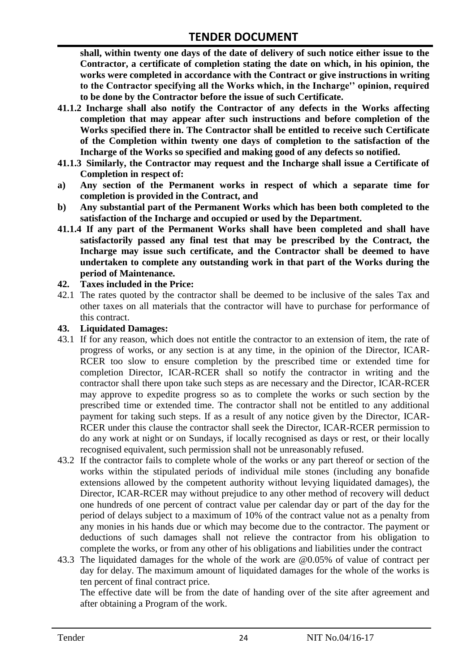**shall, within twenty one days of the date of delivery of such notice either issue to the Contractor, a certificate of completion stating the date on which, in his opinion, the works were completed in accordance with the Contract or give instructions in writing to the Contractor specifying all the Works which, in the Incharge'' opinion, required to be done by the Contractor before the issue of such Certificate.**

- **41.1.2 Incharge shall also notify the Contractor of any defects in the Works affecting completion that may appear after such instructions and before completion of the Works specified there in. The Contractor shall be entitled to receive such Certificate of the Completion within twenty one days of completion to the satisfaction of the Incharge of the Works so specified and making good of any defects so notified.**
- **41.1.3 Similarly, the Contractor may request and the Incharge shall issue a Certificate of Completion in respect of:**
- **a) Any section of the Permanent works in respect of which a separate time for completion is provided in the Contract, and**
- **b) Any substantial part of the Permanent Works which has been both completed to the satisfaction of the Incharge and occupied or used by the Department.**
- **41.1.4 If any part of the Permanent Works shall have been completed and shall have satisfactorily passed any final test that may be prescribed by the Contract, the Incharge may issue such certificate, and the Contractor shall be deemed to have undertaken to complete any outstanding work in that part of the Works during the period of Maintenance.**

#### **42. Taxes included in the Price:**

42.1 The rates quoted by the contractor shall be deemed to be inclusive of the sales Tax and other taxes on all materials that the contractor will have to purchase for performance of this contract.

#### **43. Liquidated Damages:**

- 43.1 If for any reason, which does not entitle the contractor to an extension of item, the rate of progress of works, or any section is at any time, in the opinion of the Director, ICAR-RCER too slow to ensure completion by the prescribed time or extended time for completion Director, ICAR-RCER shall so notify the contractor in writing and the contractor shall there upon take such steps as are necessary and the Director, ICAR-RCER may approve to expedite progress so as to complete the works or such section by the prescribed time or extended time. The contractor shall not be entitled to any additional payment for taking such steps. If as a result of any notice given by the Director, ICAR-RCER under this clause the contractor shall seek the Director, ICAR-RCER permission to do any work at night or on Sundays, if locally recognised as days or rest, or their locally recognised equivalent, such permission shall not be unreasonably refused.
- 43.2 If the contractor fails to complete whole of the works or any part thereof or section of the works within the stipulated periods of individual mile stones (including any bonafide extensions allowed by the competent authority without levying liquidated damages), the Director, ICAR-RCER may without prejudice to any other method of recovery will deduct one hundreds of one percent of contract value per calendar day or part of the day for the period of delays subject to a maximum of 10% of the contract value not as a penalty from any monies in his hands due or which may become due to the contractor. The payment or deductions of such damages shall not relieve the contractor from his obligation to complete the works, or from any other of his obligations and liabilities under the contract
- 43.3 The liquidated damages for the whole of the work are @0.05% of value of contract per day for delay. The maximum amount of liquidated damages for the whole of the works is ten percent of final contract price.

The effective date will be from the date of handing over of the site after agreement and after obtaining a Program of the work.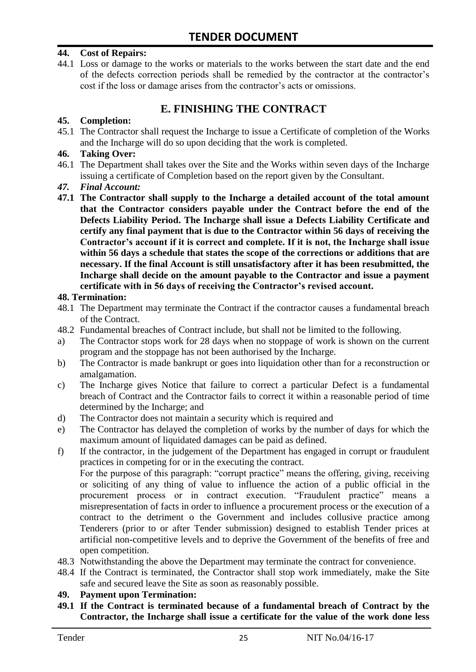#### **44. Cost of Repairs:**

44.1 Loss or damage to the works or materials to the works between the start date and the end of the defects correction periods shall be remedied by the contractor at the contractor"s cost if the loss or damage arises from the contractor's acts or omissions.

# **E. FINISHING THE CONTRACT**

#### **45. Completion:**

45.1 The Contractor shall request the Incharge to issue a Certificate of completion of the Works and the Incharge will do so upon deciding that the work is completed.

#### **46. Taking Over:**

- 46.1 The Department shall takes over the Site and the Works within seven days of the Incharge issuing a certificate of Completion based on the report given by the Consultant.
- *47. Final Account:*
- **47.1 The Contractor shall supply to the Incharge a detailed account of the total amount that the Contractor considers payable under the Contract before the end of the Defects Liability Period. The Incharge shall issue a Defects Liability Certificate and certify any final payment that is due to the Contractor within 56 days of receiving the Contractor's account if it is correct and complete. If it is not, the Incharge shall issue within 56 days a schedule that states the scope of the corrections or additions that are necessary. If the final Account is still unsatisfactory after it has been resubmitted, the Incharge shall decide on the amount payable to the Contractor and issue a payment certificate with in 56 days of receiving the Contractor's revised account.**

#### **48. Termination:**

- 48.1 The Department may terminate the Contract if the contractor causes a fundamental breach of the Contract.
- 48.2 Fundamental breaches of Contract include, but shall not be limited to the following.
- a) The Contractor stops work for 28 days when no stoppage of work is shown on the current program and the stoppage has not been authorised by the Incharge.
- b) The Contractor is made bankrupt or goes into liquidation other than for a reconstruction or amalgamation.
- c) The Incharge gives Notice that failure to correct a particular Defect is a fundamental breach of Contract and the Contractor fails to correct it within a reasonable period of time determined by the Incharge; and
- d) The Contractor does not maintain a security which is required and
- e) The Contractor has delayed the completion of works by the number of days for which the maximum amount of liquidated damages can be paid as defined.
- f) If the contractor, in the judgement of the Department has engaged in corrupt or fraudulent practices in competing for or in the executing the contract.

For the purpose of this paragraph: "corrupt practice" means the offering, giving, receiving or soliciting of any thing of value to influence the action of a public official in the procurement process or in contract execution. "Fraudulent practice" means a misrepresentation of facts in order to influence a procurement process or the execution of a contract to the detriment o the Government and includes collusive practice among Tenderers (prior to or after Tender submission) designed to establish Tender prices at artificial non-competitive levels and to deprive the Government of the benefits of free and open competition.

- 48.3 Notwithstanding the above the Department may terminate the contract for convenience.
- 48.4 If the Contract is terminated, the Contractor shall stop work immediately, make the Site safe and secured leave the Site as soon as reasonably possible.

#### **49. Payment upon Termination:**

**49.1 If the Contract is terminated because of a fundamental breach of Contract by the Contractor, the Incharge shall issue a certificate for the value of the work done less**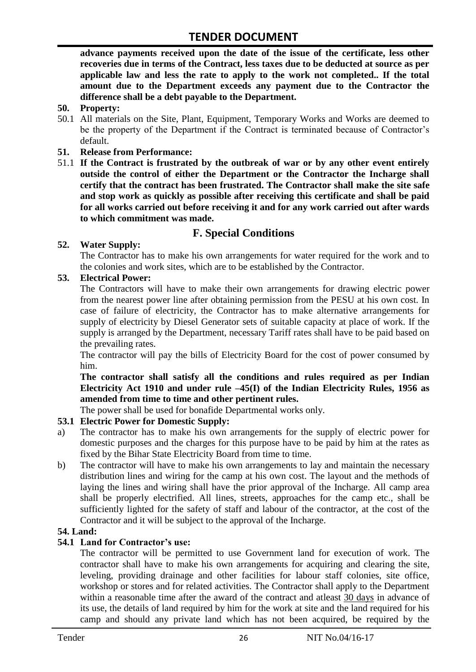**advance payments received upon the date of the issue of the certificate, less other recoveries due in terms of the Contract, less taxes due to be deducted at source as per applicable law and less the rate to apply to the work not completed.. If the total amount due to the Department exceeds any payment due to the Contractor the difference shall be a debt payable to the Department.**

- **50. Property:**
- 50.1 All materials on the Site, Plant, Equipment, Temporary Works and Works are deemed to be the property of the Department if the Contract is terminated because of Contractor's default.
- **51. Release from Performance:**
- 51.1 **If the Contract is frustrated by the outbreak of war or by any other event entirely outside the control of either the Department or the Contractor the Incharge shall certify that the contract has been frustrated. The Contractor shall make the site safe and stop work as quickly as possible after receiving this certificate and shall be paid for all works carried out before receiving it and for any work carried out after wards to which commitment was made.**

# **F. Special Conditions**

#### **52. Water Supply:**

The Contractor has to make his own arrangements for water required for the work and to the colonies and work sites, which are to be established by the Contractor.

#### **53. Electrical Power:**

The Contractors will have to make their own arrangements for drawing electric power from the nearest power line after obtaining permission from the PESU at his own cost. In case of failure of electricity, the Contractor has to make alternative arrangements for supply of electricity by Diesel Generator sets of suitable capacity at place of work. If the supply is arranged by the Department, necessary Tariff rates shall have to be paid based on the prevailing rates.

The contractor will pay the bills of Electricity Board for the cost of power consumed by him.

**The contractor shall satisfy all the conditions and rules required as per Indian Electricity Act 1910 and under rule –45(I) of the Indian Electricity Rules, 1956 as amended from time to time and other pertinent rules.**

The power shall be used for bonafide Departmental works only.

# **53.1 Electric Power for Domestic Supply:**

- a) The contractor has to make his own arrangements for the supply of electric power for domestic purposes and the charges for this purpose have to be paid by him at the rates as fixed by the Bihar State Electricity Board from time to time.
- b) The contractor will have to make his own arrangements to lay and maintain the necessary distribution lines and wiring for the camp at his own cost. The layout and the methods of laying the lines and wiring shall have the prior approval of the Incharge. All camp area shall be properly electrified. All lines, streets, approaches for the camp etc., shall be sufficiently lighted for the safety of staff and labour of the contractor, at the cost of the Contractor and it will be subject to the approval of the Incharge.

#### **54. Land:**

#### **54.1 Land for Contractor's use:**

The contractor will be permitted to use Government land for execution of work. The contractor shall have to make his own arrangements for acquiring and clearing the site, leveling, providing drainage and other facilities for labour staff colonies, site office, workshop or stores and for related activities. The Contractor shall apply to the Department within a reasonable time after the award of the contract and atleast 30 days in advance of its use, the details of land required by him for the work at site and the land required for his camp and should any private land which has not been acquired, be required by the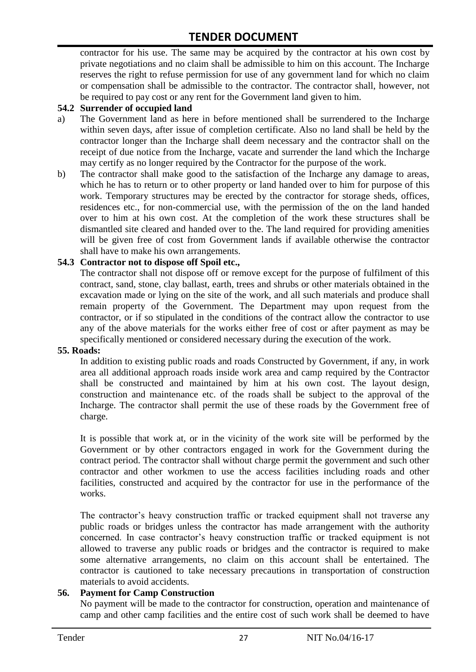contractor for his use. The same may be acquired by the contractor at his own cost by private negotiations and no claim shall be admissible to him on this account. The Incharge reserves the right to refuse permission for use of any government land for which no claim or compensation shall be admissible to the contractor. The contractor shall, however, not be required to pay cost or any rent for the Government land given to him.

#### **54.2 Surrender of occupied land**

- a) The Government land as here in before mentioned shall be surrendered to the Incharge within seven days, after issue of completion certificate. Also no land shall be held by the contractor longer than the Incharge shall deem necessary and the contractor shall on the receipt of due notice from the Incharge, vacate and surrender the land which the Incharge may certify as no longer required by the Contractor for the purpose of the work.
- b) The contractor shall make good to the satisfaction of the Incharge any damage to areas, which he has to return or to other property or land handed over to him for purpose of this work. Temporary structures may be erected by the contractor for storage sheds, offices, residences etc., for non-commercial use, with the permission of the on the land handed over to him at his own cost. At the completion of the work these structures shall be dismantled site cleared and handed over to the. The land required for providing amenities will be given free of cost from Government lands if available otherwise the contractor shall have to make his own arrangements.

#### **54.3 Contractor not to dispose off Spoil etc.,**

The contractor shall not dispose off or remove except for the purpose of fulfilment of this contract, sand, stone, clay ballast, earth, trees and shrubs or other materials obtained in the excavation made or lying on the site of the work, and all such materials and produce shall remain property of the Government. The Department may upon request from the contractor, or if so stipulated in the conditions of the contract allow the contractor to use any of the above materials for the works either free of cost or after payment as may be specifically mentioned or considered necessary during the execution of the work.

#### **55. Roads:**

In addition to existing public roads and roads Constructed by Government, if any, in work area all additional approach roads inside work area and camp required by the Contractor shall be constructed and maintained by him at his own cost. The layout design, construction and maintenance etc. of the roads shall be subject to the approval of the Incharge. The contractor shall permit the use of these roads by the Government free of charge.

It is possible that work at, or in the vicinity of the work site will be performed by the Government or by other contractors engaged in work for the Government during the contract period. The contractor shall without charge permit the government and such other contractor and other workmen to use the access facilities including roads and other facilities, constructed and acquired by the contractor for use in the performance of the works.

The contractor's heavy construction traffic or tracked equipment shall not traverse any public roads or bridges unless the contractor has made arrangement with the authority concerned. In case contractor"s heavy construction traffic or tracked equipment is not allowed to traverse any public roads or bridges and the contractor is required to make some alternative arrangements, no claim on this account shall be entertained. The contractor is cautioned to take necessary precautions in transportation of construction materials to avoid accidents.

#### **56. Payment for Camp Construction**

No payment will be made to the contractor for construction, operation and maintenance of camp and other camp facilities and the entire cost of such work shall be deemed to have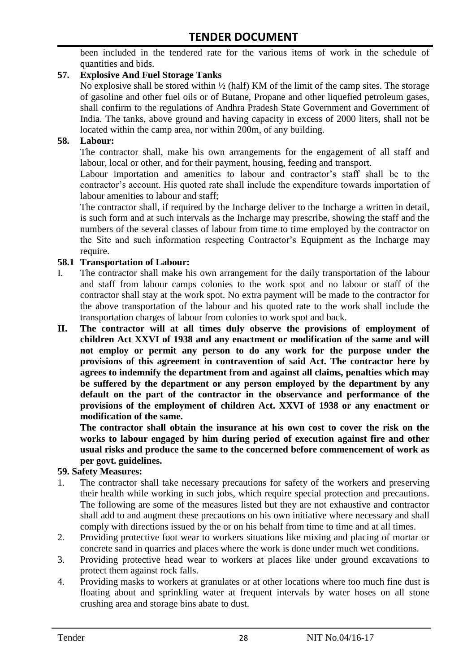been included in the tendered rate for the various items of work in the schedule of quantities and bids.

### **57. Explosive And Fuel Storage Tanks**

No explosive shall be stored within ½ (half) KM of the limit of the camp sites. The storage of gasoline and other fuel oils or of Butane, Propane and other liquefied petroleum gases, shall confirm to the regulations of Andhra Pradesh State Government and Government of India. The tanks, above ground and having capacity in excess of 2000 liters, shall not be located within the camp area, nor within 200m, of any building.

#### **58. Labour:**

The contractor shall, make his own arrangements for the engagement of all staff and labour, local or other, and for their payment, housing, feeding and transport.

Labour importation and amenities to labour and contractor's staff shall be to the contractor's account. His quoted rate shall include the expenditure towards importation of labour amenities to labour and staff;

The contractor shall, if required by the Incharge deliver to the Incharge a written in detail, is such form and at such intervals as the Incharge may prescribe, showing the staff and the numbers of the several classes of labour from time to time employed by the contractor on the Site and such information respecting Contractor"s Equipment as the Incharge may require.

#### **58.1 Transportation of Labour:**

- I. The contractor shall make his own arrangement for the daily transportation of the labour and staff from labour camps colonies to the work spot and no labour or staff of the contractor shall stay at the work spot. No extra payment will be made to the contractor for the above transportation of the labour and his quoted rate to the work shall include the transportation charges of labour from colonies to work spot and back.
- **II. The contractor will at all times duly observe the provisions of employment of children Act XXVI of 1938 and any enactment or modification of the same and will not employ or permit any person to do any work for the purpose under the provisions of this agreement in contravention of said Act. The contractor here by agrees to indemnify the department from and against all claims, penalties which may be suffered by the department or any person employed by the department by any default on the part of the contractor in the observance and performance of the provisions of the employment of children Act. XXVI of 1938 or any enactment or modification of the same.**

**The contractor shall obtain the insurance at his own cost to cover the risk on the works to labour engaged by him during period of execution against fire and other usual risks and produce the same to the concerned before commencement of work as per govt. guidelines.**

#### **59. Safety Measures:**

- 1. The contractor shall take necessary precautions for safety of the workers and preserving their health while working in such jobs, which require special protection and precautions. The following are some of the measures listed but they are not exhaustive and contractor shall add to and augment these precautions on his own initiative where necessary and shall comply with directions issued by the or on his behalf from time to time and at all times.
- 2. Providing protective foot wear to workers situations like mixing and placing of mortar or concrete sand in quarries and places where the work is done under much wet conditions.
- 3. Providing protective head wear to workers at places like under ground excavations to protect them against rock falls.
- 4. Providing masks to workers at granulates or at other locations where too much fine dust is floating about and sprinkling water at frequent intervals by water hoses on all stone crushing area and storage bins abate to dust.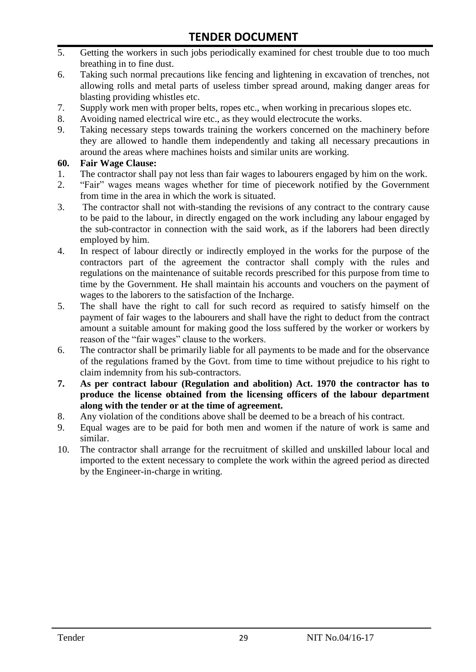- 5. Getting the workers in such jobs periodically examined for chest trouble due to too much breathing in to fine dust.
- 6. Taking such normal precautions like fencing and lightening in excavation of trenches, not allowing rolls and metal parts of useless timber spread around, making danger areas for blasting providing whistles etc.
- 7. Supply work men with proper belts, ropes etc., when working in precarious slopes etc.
- 8. Avoiding named electrical wire etc., as they would electrocute the works.
- 9. Taking necessary steps towards training the workers concerned on the machinery before they are allowed to handle them independently and taking all necessary precautions in around the areas where machines hoists and similar units are working.

#### **60. Fair Wage Clause:**

- 1. The contractor shall pay not less than fair wages to labourers engaged by him on the work.
- 2. "Fair" wages means wages whether for time of piecework notified by the Government from time in the area in which the work is situated.
- 3. The contractor shall not with-standing the revisions of any contract to the contrary cause to be paid to the labour, in directly engaged on the work including any labour engaged by the sub-contractor in connection with the said work, as if the laborers had been directly employed by him.
- 4. In respect of labour directly or indirectly employed in the works for the purpose of the contractors part of the agreement the contractor shall comply with the rules and regulations on the maintenance of suitable records prescribed for this purpose from time to time by the Government. He shall maintain his accounts and vouchers on the payment of wages to the laborers to the satisfaction of the Incharge.
- 5. The shall have the right to call for such record as required to satisfy himself on the payment of fair wages to the labourers and shall have the right to deduct from the contract amount a suitable amount for making good the loss suffered by the worker or workers by reason of the "fair wages" clause to the workers.
- 6. The contractor shall be primarily liable for all payments to be made and for the observance of the regulations framed by the Govt. from time to time without prejudice to his right to claim indemnity from his sub-contractors.
- **7. As per contract labour (Regulation and abolition) Act. 1970 the contractor has to produce the license obtained from the licensing officers of the labour department along with the tender or at the time of agreement.**
- 8. Any violation of the conditions above shall be deemed to be a breach of his contract.
- 9. Equal wages are to be paid for both men and women if the nature of work is same and similar.
- 10. The contractor shall arrange for the recruitment of skilled and unskilled labour local and imported to the extent necessary to complete the work within the agreed period as directed by the Engineer-in-charge in writing.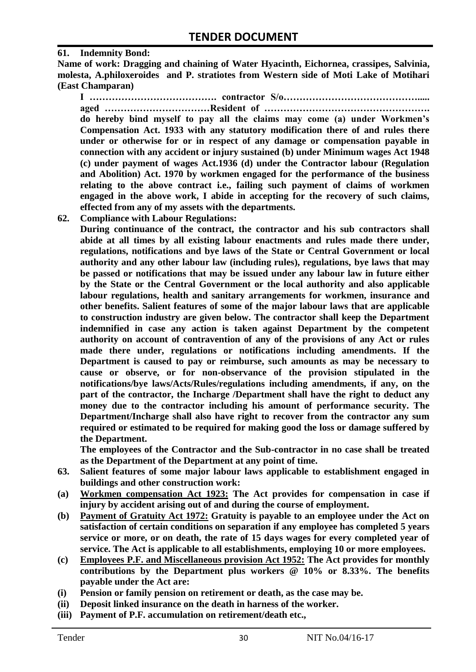#### **61. Indemnity Bond:**

**Name of work: Dragging and chaining of Water Hyacinth, Eichornea, crassipes, Salvinia, molesta, A.philoxeroides and P. stratiotes from Western side of Moti Lake of Motihari (East Champaran)**

**I …………………………………. contractor S/o……………………………………..... aged ……………………………Resident of …………………………………………….** 

**do hereby bind myself to pay all the claims may come (a) under Workmen's Compensation Act. 1933 with any statutory modification there of and rules there under or otherwise for or in respect of any damage or compensation payable in connection with any accident or injury sustained (b) under Minimum wages Act 1948 (c) under payment of wages Act.1936 (d) under the Contractor labour (Regulation and Abolition) Act. 1970 by workmen engaged for the performance of the business relating to the above contract i.e., failing such payment of claims of workmen engaged in the above work, I abide in accepting for the recovery of such claims, effected from any of my assets with the departments.**

**62. Compliance with Labour Regulations:**

**During continuance of the contract, the contractor and his sub contractors shall abide at all times by all existing labour enactments and rules made there under, regulations, notifications and bye laws of the State or Central Government or local authority and any other labour law (including rules), regulations, bye laws that may be passed or notifications that may be issued under any labour law in future either by the State or the Central Government or the local authority and also applicable labour regulations, health and sanitary arrangements for workmen, insurance and other benefits. Salient features of some of the major labour laws that are applicable to construction industry are given below. The contractor shall keep the Department indemnified in case any action is taken against Department by the competent authority on account of contravention of any of the provisions of any Act or rules made there under, regulations or notifications including amendments. If the Department is caused to pay or reimburse, such amounts as may be necessary to cause or observe, or for non-observance of the provision stipulated in the notifications/bye laws/Acts/Rules/regulations including amendments, if any, on the part of the contractor, the Incharge /Department shall have the right to deduct any money due to the contractor including his amount of performance security. The Department/Incharge shall also have right to recover from the contractor any sum required or estimated to be required for making good the loss or damage suffered by the Department.**

**The employees of the Contractor and the Sub-contractor in no case shall be treated as the Department of the Department at any point of time.**

- **63. Salient features of some major labour laws applicable to establishment engaged in buildings and other construction work:**
- **(a) Workmen compensation Act 1923: The Act provides for compensation in case if injury by accident arising out of and during the course of employment.**
- **(b) Payment of Gratuity Act 1972: Gratuity is payable to an employee under the Act on satisfaction of certain conditions on separation if any employee has completed 5 years service or more, or on death, the rate of 15 days wages for every completed year of service. The Act is applicable to all establishments, employing 10 or more employees.**
- **(c) Employees P.F. and Miscellaneous provision Act 1952: The Act provides for monthly contributions by the Department plus workers @ 10% or 8.33%. The benefits payable under the Act are:**
- **(i) Pension or family pension on retirement or death, as the case may be.**
- **(ii) Deposit linked insurance on the death in harness of the worker.**
- **(iii) Payment of P.F. accumulation on retirement/death etc.,**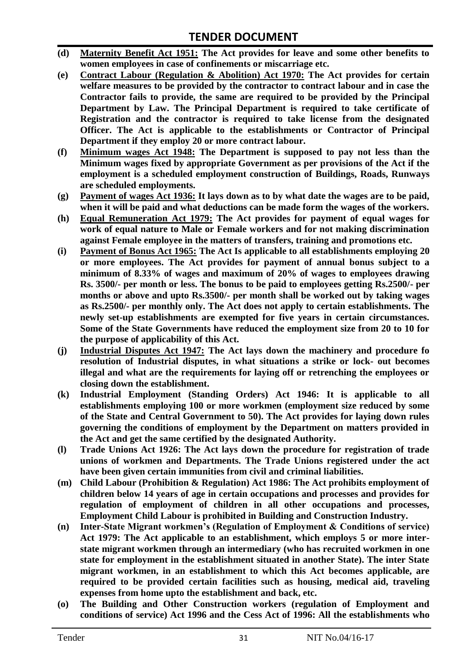- **(d) Maternity Benefit Act 1951: The Act provides for leave and some other benefits to women employees in case of confinements or miscarriage etc.**
- **(e) Contract Labour (Regulation & Abolition) Act 1970: The Act provides for certain welfare measures to be provided by the contractor to contract labour and in case the Contractor fails to provide, the same are required to be provided by the Principal Department by Law. The Principal Department is required to take certificate of Registration and the contractor is required to take license from the designated Officer. The Act is applicable to the establishments or Contractor of Principal Department if they employ 20 or more contract labour.**
- **(f) Minimum wages Act 1948: The Department is supposed to pay not less than the Minimum wages fixed by appropriate Government as per provisions of the Act if the employment is a scheduled employment construction of Buildings, Roads, Runways are scheduled employments.**
- **(g) Payment of wages Act 1936: It lays down as to by what date the wages are to be paid, when it will be paid and what deductions can be made form the wages of the workers.**
- **(h) Equal Remuneration Act 1979: The Act provides for payment of equal wages for work of equal nature to Male or Female workers and for not making discrimination against Female employee in the matters of transfers, training and promotions etc.**
- **(i) Payment of Bonus Act 1965: The Act Is applicable to all establishments employing 20 or more employees. The Act provides for payment of annual bonus subject to a minimum of 8.33% of wages and maximum of 20% of wages to employees drawing Rs. 3500/- per month or less. The bonus to be paid to employees getting Rs.2500/- per months or above and upto Rs.3500/- per month shall be worked out by taking wages as Rs.2500/- per monthly only. The Act does not apply to certain establishments. The newly set-up establishments are exempted for five years in certain circumstances. Some of the State Governments have reduced the employment size from 20 to 10 for the purpose of applicability of this Act.**
- **(j) Industrial Disputes Act 1947: The Act lays down the machinery and procedure fo resolution of Industrial disputes, in what situations a strike or lock- out becomes illegal and what are the requirements for laying off or retrenching the employees or closing down the establishment.**
- **(k) Industrial Employment (Standing Orders) Act 1946: It is applicable to all establishments employing 100 or more workmen (employment size reduced by some of the State and Central Government to 50). The Act provides for laying down rules governing the conditions of employment by the Department on matters provided in the Act and get the same certified by the designated Authority.**
- **(l) Trade Unions Act 1926: The Act lays down the procedure for registration of trade unions of workmen and Departments. The Trade Unions registered under the act have been given certain immunities from civil and criminal liabilities.**
- **(m) Child Labour (Prohibition & Regulation) Act 1986: The Act prohibits employment of children below 14 years of age in certain occupations and processes and provides for regulation of employment of children in all other occupations and processes, Employment Child Labour is prohibited in Building and Construction Industry.**
- **(n) Inter-State Migrant workmen's (Regulation of Employment & Conditions of service) Act 1979: The Act applicable to an establishment, which employs 5 or more interstate migrant workmen through an intermediary (who has recruited workmen in one state for employment in the establishment situated in another State). The inter State migrant workmen, in an establishment to which this Act becomes applicable, are required to be provided certain facilities such as housing, medical aid, traveling expenses from home upto the establishment and back, etc.**
- **(o) The Building and Other Construction workers (regulation of Employment and conditions of service) Act 1996 and the Cess Act of 1996: All the establishments who**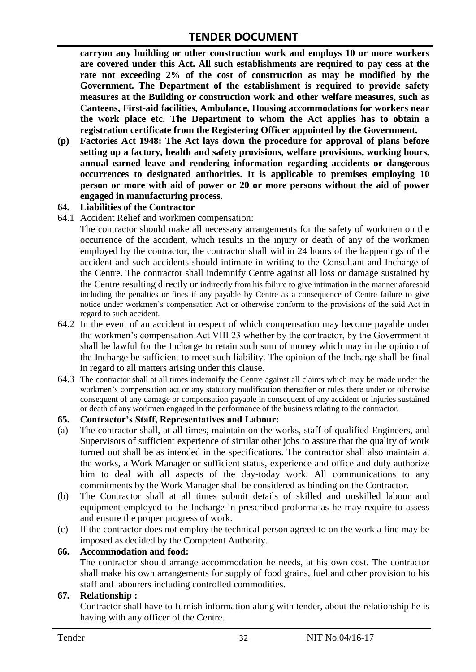**carryon any building or other construction work and employs 10 or more workers are covered under this Act. All such establishments are required to pay cess at the rate not exceeding 2% of the cost of construction as may be modified by the Government. The Department of the establishment is required to provide safety measures at the Building or construction work and other welfare measures, such as Canteens, First-aid facilities, Ambulance, Housing accommodations for workers near the work place etc. The Department to whom the Act applies has to obtain a registration certificate from the Registering Officer appointed by the Government.**

**(p) Factories Act 1948: The Act lays down the procedure for approval of plans before setting up a factory, health and safety provisions, welfare provisions, working hours, annual earned leave and rendering information regarding accidents or dangerous occurrences to designated authorities. It is applicable to premises employing 10 person or more with aid of power or 20 or more persons without the aid of power engaged in manufacturing process.**

#### **64. Liabilities of the Contractor**

64.1 Accident Relief and workmen compensation:

The contractor should make all necessary arrangements for the safety of workmen on the occurrence of the accident, which results in the injury or death of any of the workmen employed by the contractor, the contractor shall within 24 hours of the happenings of the accident and such accidents should intimate in writing to the Consultant and Incharge of the Centre. The contractor shall indemnify Centre against all loss or damage sustained by the Centre resulting directly or indirectly from his failure to give intimation in the manner aforesaid including the penalties or fines if any payable by Centre as a consequence of Centre failure to give notice under workmen"s compensation Act or otherwise conform to the provisions of the said Act in regard to such accident.

- 64.2 In the event of an accident in respect of which compensation may become payable under the workmen"s compensation Act VIII 23 whether by the contractor, by the Government it shall be lawful for the Incharge to retain such sum of money which may in the opinion of the Incharge be sufficient to meet such liability. The opinion of the Incharge shall be final in regard to all matters arising under this clause.
- 64.3 The contractor shall at all times indemnify the Centre against all claims which may be made under the workmen"s compensation act or any statutory modification thereafter or rules there under or otherwise consequent of any damage or compensation payable in consequent of any accident or injuries sustained or death of any workmen engaged in the performance of the business relating to the contractor.

#### **65. Contractor's Staff, Representatives and Labour:**

- (a) The contractor shall, at all times, maintain on the works, staff of qualified Engineers, and Supervisors of sufficient experience of similar other jobs to assure that the quality of work turned out shall be as intended in the specifications. The contractor shall also maintain at the works, a Work Manager or sufficient status, experience and office and duly authorize him to deal with all aspects of the day-today work. All communications to any commitments by the Work Manager shall be considered as binding on the Contractor.
- (b) The Contractor shall at all times submit details of skilled and unskilled labour and equipment employed to the Incharge in prescribed proforma as he may require to assess and ensure the proper progress of work.
- (c) If the contractor does not employ the technical person agreed to on the work a fine may be imposed as decided by the Competent Authority.

#### **66. Accommodation and food:**

The contractor should arrange accommodation he needs, at his own cost. The contractor shall make his own arrangements for supply of food grains, fuel and other provision to his staff and labourers including controlled commodities.

#### **67. Relationship :**

Contractor shall have to furnish information along with tender, about the relationship he is having with any officer of the Centre.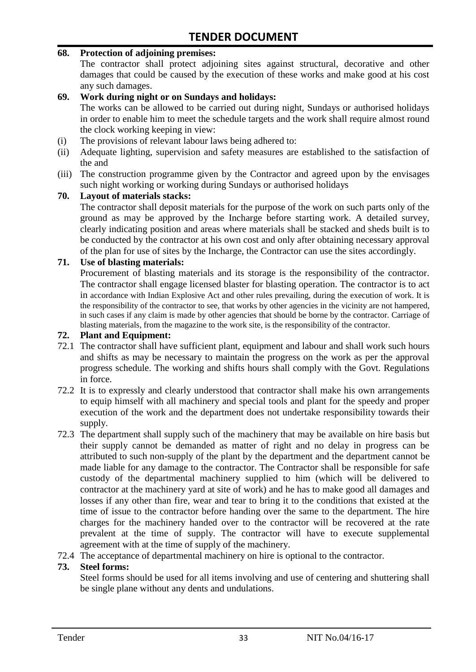#### **68. Protection of adjoining premises:**

The contractor shall protect adjoining sites against structural, decorative and other damages that could be caused by the execution of these works and make good at his cost any such damages.

#### **69. Work during night or on Sundays and holidays:**

The works can be allowed to be carried out during night, Sundays or authorised holidays in order to enable him to meet the schedule targets and the work shall require almost round the clock working keeping in view:

- (i) The provisions of relevant labour laws being adhered to:
- (ii) Adequate lighting, supervision and safety measures are established to the satisfaction of the and
- (iii) The construction programme given by the Contractor and agreed upon by the envisages such night working or working during Sundays or authorised holidays

#### **70. Layout of materials stacks:**

The contractor shall deposit materials for the purpose of the work on such parts only of the ground as may be approved by the Incharge before starting work. A detailed survey, clearly indicating position and areas where materials shall be stacked and sheds built is to be conducted by the contractor at his own cost and only after obtaining necessary approval of the plan for use of sites by the Incharge, the Contractor can use the sites accordingly.

#### **71. Use of blasting materials:**

Procurement of blasting materials and its storage is the responsibility of the contractor. The contractor shall engage licensed blaster for blasting operation. The contractor is to act in accordance with Indian Explosive Act and other rules prevailing, during the execution of work. It is the responsibility of the contractor to see, that works by other agencies in the vicinity are not hampered, in such cases if any claim is made by other agencies that should be borne by the contractor. Carriage of blasting materials, from the magazine to the work site, is the responsibility of the contractor.

#### **72. Plant and Equipment:**

- 72.1 The contractor shall have sufficient plant, equipment and labour and shall work such hours and shifts as may be necessary to maintain the progress on the work as per the approval progress schedule. The working and shifts hours shall comply with the Govt. Regulations in force.
- 72.2 It is to expressly and clearly understood that contractor shall make his own arrangements to equip himself with all machinery and special tools and plant for the speedy and proper execution of the work and the department does not undertake responsibility towards their supply.
- 72.3 The department shall supply such of the machinery that may be available on hire basis but their supply cannot be demanded as matter of right and no delay in progress can be attributed to such non-supply of the plant by the department and the department cannot be made liable for any damage to the contractor. The Contractor shall be responsible for safe custody of the departmental machinery supplied to him (which will be delivered to contractor at the machinery yard at site of work) and he has to make good all damages and losses if any other than fire, wear and tear to bring it to the conditions that existed at the time of issue to the contractor before handing over the same to the department. The hire charges for the machinery handed over to the contractor will be recovered at the rate prevalent at the time of supply. The contractor will have to execute supplemental agreement with at the time of supply of the machinery.
- 72.4 The acceptance of departmental machinery on hire is optional to the contractor.

#### **73. Steel forms:**

Steel forms should be used for all items involving and use of centering and shuttering shall be single plane without any dents and undulations.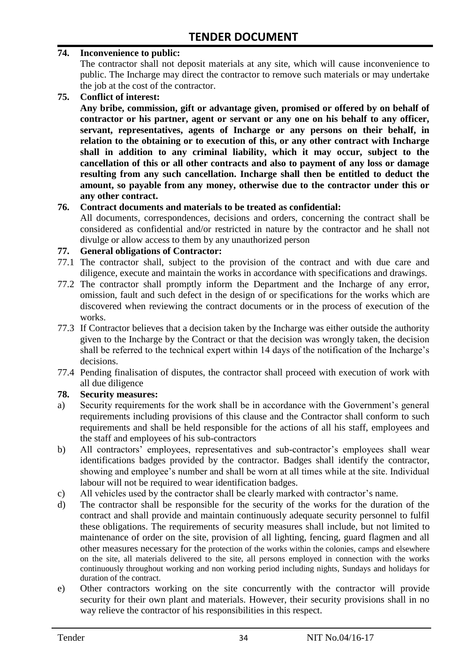#### **74. Inconvenience to public:**

The contractor shall not deposit materials at any site, which will cause inconvenience to public. The Incharge may direct the contractor to remove such materials or may undertake the job at the cost of the contractor.

**75. Conflict of interest:**

**Any bribe, commission, gift or advantage given, promised or offered by on behalf of contractor or his partner, agent or servant or any one on his behalf to any officer, servant, representatives, agents of Incharge or any persons on their behalf, in relation to the obtaining or to execution of this, or any other contract with Incharge shall in addition to any criminal liability, which it may occur, subject to the cancellation of this or all other contracts and also to payment of any loss or damage resulting from any such cancellation. Incharge shall then be entitled to deduct the amount, so payable from any money, otherwise due to the contractor under this or any other contract.**

#### **76. Contract documents and materials to be treated as confidential:**

All documents, correspondences, decisions and orders, concerning the contract shall be considered as confidential and/or restricted in nature by the contractor and he shall not divulge or allow access to them by any unauthorized person

#### **77. General obligations of Contractor:**

- 77.1 The contractor shall, subject to the provision of the contract and with due care and diligence, execute and maintain the works in accordance with specifications and drawings.
- 77.2 The contractor shall promptly inform the Department and the Incharge of any error, omission, fault and such defect in the design of or specifications for the works which are discovered when reviewing the contract documents or in the process of execution of the works.
- 77.3 If Contractor believes that a decision taken by the Incharge was either outside the authority given to the Incharge by the Contract or that the decision was wrongly taken, the decision shall be referred to the technical expert within 14 days of the notification of the Incharge's decisions.
- 77.4 Pending finalisation of disputes, the contractor shall proceed with execution of work with all due diligence

#### **78. Security measures:**

- a) Security requirements for the work shall be in accordance with the Government's general requirements including provisions of this clause and the Contractor shall conform to such requirements and shall be held responsible for the actions of all his staff, employees and the staff and employees of his sub-contractors
- b) All contractors' employees, representatives and sub-contractor's employees shall wear identifications badges provided by the contractor. Badges shall identify the contractor, showing and employee's number and shall be worn at all times while at the site. Individual labour will not be required to wear identification badges.
- c) All vehicles used by the contractor shall be clearly marked with contractor"s name.
- d) The contractor shall be responsible for the security of the works for the duration of the contract and shall provide and maintain continuously adequate security personnel to fulfil these obligations. The requirements of security measures shall include, but not limited to maintenance of order on the site, provision of all lighting, fencing, guard flagmen and all other measures necessary for the protection of the works within the colonies, camps and elsewhere on the site, all materials delivered to the site, all persons employed in connection with the works continuously throughout working and non working period including nights, Sundays and holidays for duration of the contract.
- e) Other contractors working on the site concurrently with the contractor will provide security for their own plant and materials. However, their security provisions shall in no way relieve the contractor of his responsibilities in this respect.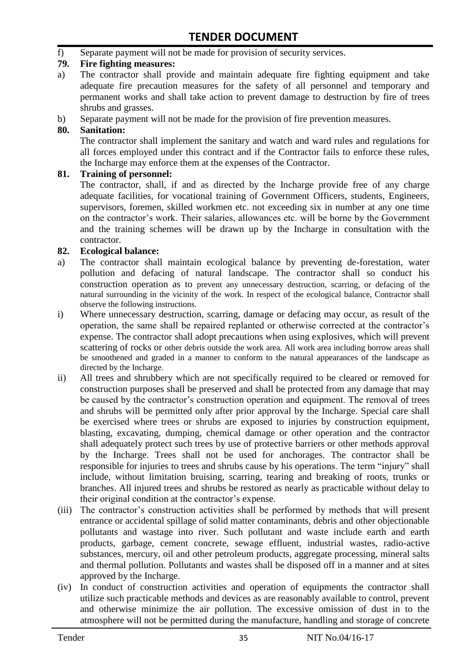f) Separate payment will not be made for provision of security services.

#### **79. Fire fighting measures:**

- a) The contractor shall provide and maintain adequate fire fighting equipment and take adequate fire precaution measures for the safety of all personnel and temporary and permanent works and shall take action to prevent damage to destruction by fire of trees shrubs and grasses.
- b) Separate payment will not be made for the provision of fire prevention measures.

#### **80. Sanitation:**

The contractor shall implement the sanitary and watch and ward rules and regulations for all forces employed under this contract and if the Contractor fails to enforce these rules, the Incharge may enforce them at the expenses of the Contractor.

#### **81. Training of personnel:**

The contractor, shall, if and as directed by the Incharge provide free of any charge adequate facilities, for vocational training of Government Officers, students, Engineers, supervisors, foremen, skilled workmen etc. not exceeding six in number at any one time on the contractor"s work. Their salaries, allowances etc. will be borne by the Government and the training schemes will be drawn up by the Incharge in consultation with the contractor.

#### **82. Ecological balance:**

- a) The contractor shall maintain ecological balance by preventing de-forestation, water pollution and defacing of natural landscape. The contractor shall so conduct his construction operation as to prevent any unnecessary destruction, scarring, or defacing of the natural surrounding in the vicinity of the work. In respect of the ecological balance, Contractor shall observe the following instructions.
- i) Where unnecessary destruction, scarring, damage or defacing may occur, as result of the operation, the same shall be repaired replanted or otherwise corrected at the contractor"s expense. The contractor shall adopt precautions when using explosives, which will prevent scattering of rocks or other debris outside the work area. All work area including borrow areas shall be smoothened and graded in a manner to conform to the natural appearances of the landscape as directed by the Incharge.
- ii) All trees and shrubbery which are not specifically required to be cleared or removed for construction purposes shall be preserved and shall be protected from any damage that may be caused by the contractor's construction operation and equipment. The removal of trees and shrubs will be permitted only after prior approval by the Incharge. Special care shall be exercised where trees or shrubs are exposed to injuries by construction equipment, blasting, excavating, dumping, chemical damage or other operation and the contractor shall adequately protect such trees by use of protective barriers or other methods approval by the Incharge. Trees shall not be used for anchorages. The contractor shall be responsible for injuries to trees and shrubs cause by his operations. The term "injury" shall include, without limitation bruising, scarring, tearing and breaking of roots, trunks or branches. All injured trees and shrubs be restored as nearly as practicable without delay to their original condition at the contractor"s expense.
- (iii) The contractor's construction activities shall be performed by methods that will present entrance or accidental spillage of solid matter contaminants, debris and other objectionable pollutants and wastage into river. Such pollutant and waste include earth and earth products, garbage, cement concrete, sewage effluent, industrial wastes, radio-active substances, mercury, oil and other petroleum products, aggregate processing, mineral salts and thermal pollution. Pollutants and wastes shall be disposed off in a manner and at sites approved by the Incharge.
- (iv) In conduct of construction activities and operation of equipments the contractor shall utilize such practicable methods and devices as are reasonably available to control, prevent and otherwise minimize the air pollution. The excessive omission of dust in to the atmosphere will not be permitted during the manufacture, handling and storage of concrete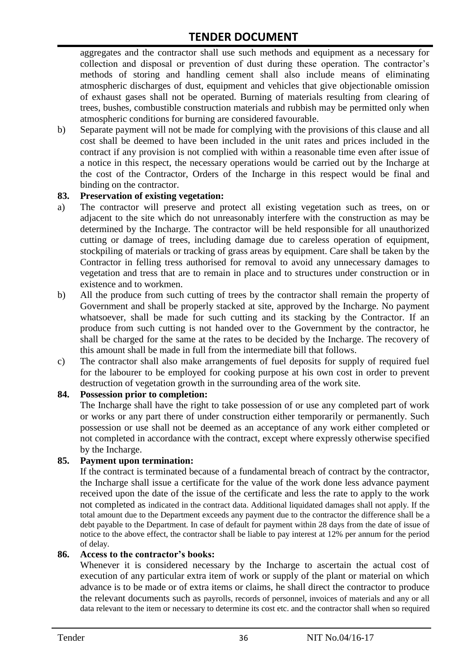aggregates and the contractor shall use such methods and equipment as a necessary for collection and disposal or prevention of dust during these operation. The contractor's methods of storing and handling cement shall also include means of eliminating atmospheric discharges of dust, equipment and vehicles that give objectionable omission of exhaust gases shall not be operated. Burning of materials resulting from clearing of trees, bushes, combustible construction materials and rubbish may be permitted only when atmospheric conditions for burning are considered favourable.

b) Separate payment will not be made for complying with the provisions of this clause and all cost shall be deemed to have been included in the unit rates and prices included in the contract if any provision is not complied with within a reasonable time even after issue of a notice in this respect, the necessary operations would be carried out by the Incharge at the cost of the Contractor, Orders of the Incharge in this respect would be final and binding on the contractor.

#### **83. Preservation of existing vegetation:**

- a) The contractor will preserve and protect all existing vegetation such as trees, on or adjacent to the site which do not unreasonably interfere with the construction as may be determined by the Incharge. The contractor will be held responsible for all unauthorized cutting or damage of trees, including damage due to careless operation of equipment, stockpiling of materials or tracking of grass areas by equipment. Care shall be taken by the Contractor in felling tress authorised for removal to avoid any unnecessary damages to vegetation and tress that are to remain in place and to structures under construction or in existence and to workmen.
- b) All the produce from such cutting of trees by the contractor shall remain the property of Government and shall be properly stacked at site, approved by the Incharge. No payment whatsoever, shall be made for such cutting and its stacking by the Contractor. If an produce from such cutting is not handed over to the Government by the contractor, he shall be charged for the same at the rates to be decided by the Incharge. The recovery of this amount shall be made in full from the intermediate bill that follows.
- c) The contractor shall also make arrangements of fuel deposits for supply of required fuel for the labourer to be employed for cooking purpose at his own cost in order to prevent destruction of vegetation growth in the surrounding area of the work site.

#### **84. Possession prior to completion:**

The Incharge shall have the right to take possession of or use any completed part of work or works or any part there of under construction either temporarily or permanently. Such possession or use shall not be deemed as an acceptance of any work either completed or not completed in accordance with the contract, except where expressly otherwise specified by the Incharge.

#### **85. Payment upon termination:**

If the contract is terminated because of a fundamental breach of contract by the contractor, the Incharge shall issue a certificate for the value of the work done less advance payment received upon the date of the issue of the certificate and less the rate to apply to the work not completed as indicated in the contract data. Additional liquidated damages shall not apply. If the total amount due to the Department exceeds any payment due to the contractor the difference shall be a debt payable to the Department. In case of default for payment within 28 days from the date of issue of notice to the above effect, the contractor shall be liable to pay interest at 12% per annum for the period of delay.

#### **86. Access to the contractor's books:**

Whenever it is considered necessary by the Incharge to ascertain the actual cost of execution of any particular extra item of work or supply of the plant or material on which advance is to be made or of extra items or claims, he shall direct the contractor to produce the relevant documents such as payrolls, records of personnel, invoices of materials and any or all data relevant to the item or necessary to determine its cost etc. and the contractor shall when so required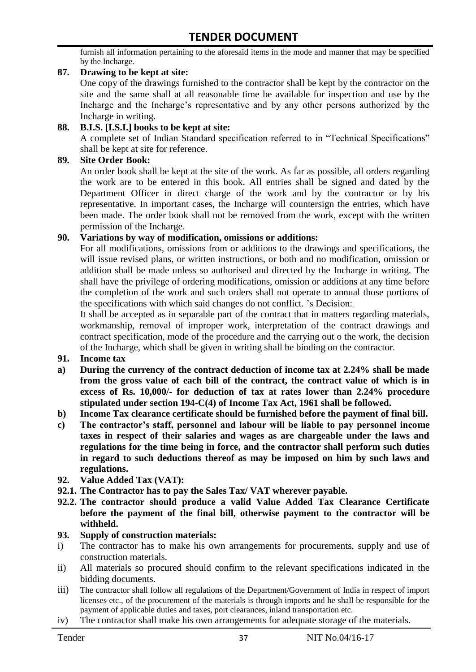furnish all information pertaining to the aforesaid items in the mode and manner that may be specified by the Incharge.

#### **87. Drawing to be kept at site:**

One copy of the drawings furnished to the contractor shall be kept by the contractor on the site and the same shall at all reasonable time be available for inspection and use by the Incharge and the Incharge"s representative and by any other persons authorized by the Incharge in writing.

#### **88. B.I.S. [I.S.I.] books to be kept at site:**

A complete set of Indian Standard specification referred to in "Technical Specifications" shall be kept at site for reference.

#### **89. Site Order Book:**

An order book shall be kept at the site of the work. As far as possible, all orders regarding the work are to be entered in this book. All entries shall be signed and dated by the Department Officer in direct charge of the work and by the contractor or by his representative. In important cases, the Incharge will countersign the entries, which have been made. The order book shall not be removed from the work, except with the written permission of the Incharge.

#### **90. Variations by way of modification, omissions or additions:**

For all modifications, omissions from or additions to the drawings and specifications, the will issue revised plans, or written instructions, or both and no modification, omission or addition shall be made unless so authorised and directed by the Incharge in writing. The shall have the privilege of ordering modifications, omission or additions at any time before the completion of the work and such orders shall not operate to annual those portions of the specifications with which said changes do not conflict. "s Decision:

It shall be accepted as in separable part of the contract that in matters regarding materials, workmanship, removal of improper work, interpretation of the contract drawings and contract specification, mode of the procedure and the carrying out o the work, the decision of the Incharge, which shall be given in writing shall be binding on the contractor.

- **91. Income tax**
- **a) During the currency of the contract deduction of income tax at 2.24% shall be made from the gross value of each bill of the contract, the contract value of which is in excess of Rs. 10,000/- for deduction of tax at rates lower than 2.24% procedure stipulated under section 194-C(4) of Income Tax Act, 1961 shall be followed.**
- **b) Income Tax clearance certificate should be furnished before the payment of final bill.**
- **c) The contractor's staff, personnel and labour will be liable to pay personnel income taxes in respect of their salaries and wages as are chargeable under the laws and regulations for the time being in force, and the contractor shall perform such duties in regard to such deductions thereof as may be imposed on him by such laws and regulations.**
- **92. Value Added Tax (VAT):**
- **92.1. The Contractor has to pay the Sales Tax/ VAT wherever payable.**
- **92.2. The contractor should produce a valid Value Added Tax Clearance Certificate before the payment of the final bill, otherwise payment to the contractor will be withheld.**

#### **93. Supply of construction materials:**

- i) The contractor has to make his own arrangements for procurements, supply and use of construction materials.
- ii) All materials so procured should confirm to the relevant specifications indicated in the bidding documents.
- iii) The contractor shall follow all regulations of the Department/Government of India in respect of import licenses etc., of the procurement of the materials is through imports and he shall be responsible for the payment of applicable duties and taxes, port clearances, inland transportation etc.
- iv) The contractor shall make his own arrangements for adequate storage of the materials.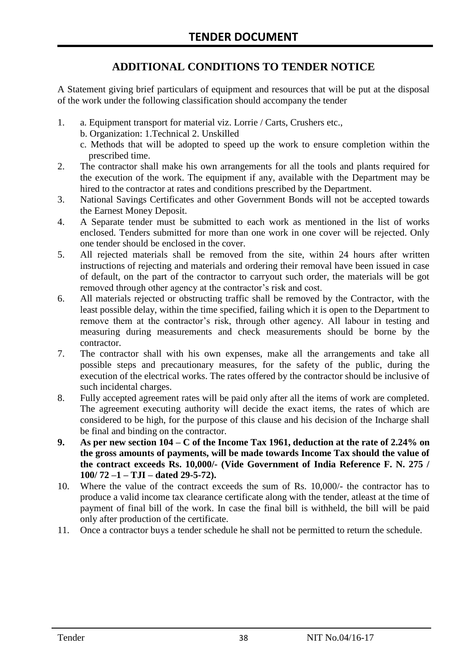# **ADDITIONAL CONDITIONS TO TENDER NOTICE**

A Statement giving brief particulars of equipment and resources that will be put at the disposal of the work under the following classification should accompany the tender

- 1. a. Equipment transport for material viz. Lorrie / Carts, Crushers etc.,
	- b. Organization: 1.Technical 2. Unskilled
	- c. Methods that will be adopted to speed up the work to ensure completion within the prescribed time.
- 2. The contractor shall make his own arrangements for all the tools and plants required for the execution of the work. The equipment if any, available with the Department may be hired to the contractor at rates and conditions prescribed by the Department.
- 3. National Savings Certificates and other Government Bonds will not be accepted towards the Earnest Money Deposit.
- 4. A Separate tender must be submitted to each work as mentioned in the list of works enclosed. Tenders submitted for more than one work in one cover will be rejected. Only one tender should be enclosed in the cover.
- 5. All rejected materials shall be removed from the site, within 24 hours after written instructions of rejecting and materials and ordering their removal have been issued in case of default, on the part of the contractor to carryout such order, the materials will be got removed through other agency at the contractor's risk and cost.
- 6. All materials rejected or obstructing traffic shall be removed by the Contractor, with the least possible delay, within the time specified, failing which it is open to the Department to remove them at the contractor's risk, through other agency. All labour in testing and measuring during measurements and check measurements should be borne by the contractor.
- 7. The contractor shall with his own expenses, make all the arrangements and take all possible steps and precautionary measures, for the safety of the public, during the execution of the electrical works. The rates offered by the contractor should be inclusive of such incidental charges.
- 8. Fully accepted agreement rates will be paid only after all the items of work are completed. The agreement executing authority will decide the exact items, the rates of which are considered to be high, for the purpose of this clause and his decision of the Incharge shall be final and binding on the contractor.
- **9. As per new section 104 – C of the Income Tax 1961, deduction at the rate of 2.24% on the gross amounts of payments, will be made towards Income Tax should the value of the contract exceeds Rs. 10,000/- (Vide Government of India Reference F. N. 275 / 100/ 72 –1 – TJI – dated 29-5-72).**
- 10. Where the value of the contract exceeds the sum of Rs. 10,000/- the contractor has to produce a valid income tax clearance certificate along with the tender, atleast at the time of payment of final bill of the work. In case the final bill is withheld, the bill will be paid only after production of the certificate.
- 11. Once a contractor buys a tender schedule he shall not be permitted to return the schedule.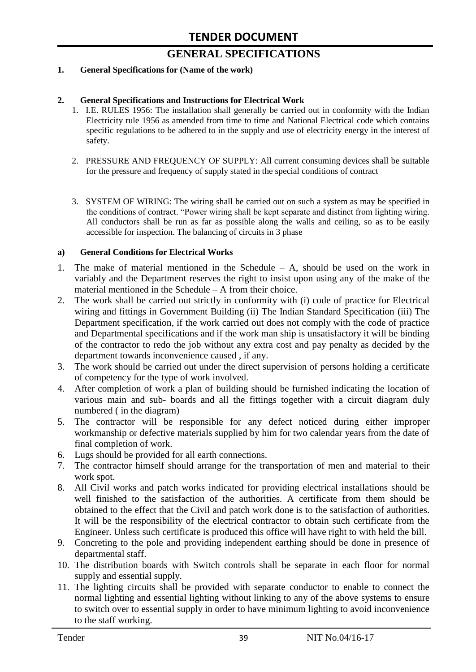# **GENERAL SPECIFICATIONS**

#### **1. General Specifications for (Name of the work)**

#### **2. General Specifications and Instructions for Electrical Work**

- 1. I.E. RULES 1956: The installation shall generally be carried out in conformity with the Indian Electricity rule 1956 as amended from time to time and National Electrical code which contains specific regulations to be adhered to in the supply and use of electricity energy in the interest of safety.
- 2. PRESSURE AND FREQUENCY OF SUPPLY: All current consuming devices shall be suitable for the pressure and frequency of supply stated in the special conditions of contract
- 3. SYSTEM OF WIRING: The wiring shall be carried out on such a system as may be specified in the conditions of contract. "Power wiring shall be kept separate and distinct from lighting wiring. All conductors shall be run as far as possible along the walls and ceiling, so as to be easily accessible for inspection. The balancing of circuits in 3 phase

#### **a) General Conditions for Electrical Works**

- 1. The make of material mentioned in the Schedule A, should be used on the work in variably and the Department reserves the right to insist upon using any of the make of the material mentioned in the Schedule – A from their choice.
- 2. The work shall be carried out strictly in conformity with (i) code of practice for Electrical wiring and fittings in Government Building (ii) The Indian Standard Specification (iii) The Department specification, if the work carried out does not comply with the code of practice and Departmental specifications and if the work man ship is unsatisfactory it will be binding of the contractor to redo the job without any extra cost and pay penalty as decided by the department towards inconvenience caused , if any.
- 3. The work should be carried out under the direct supervision of persons holding a certificate of competency for the type of work involved.
- 4. After completion of work a plan of building should be furnished indicating the location of various main and sub- boards and all the fittings together with a circuit diagram duly numbered ( in the diagram)
- 5. The contractor will be responsible for any defect noticed during either improper workmanship or defective materials supplied by him for two calendar years from the date of final completion of work.
- 6. Lugs should be provided for all earth connections.
- 7. The contractor himself should arrange for the transportation of men and material to their work spot.
- 8. All Civil works and patch works indicated for providing electrical installations should be well finished to the satisfaction of the authorities. A certificate from them should be obtained to the effect that the Civil and patch work done is to the satisfaction of authorities. It will be the responsibility of the electrical contractor to obtain such certificate from the Engineer. Unless such certificate is produced this office will have right to with held the bill.
- 9. Concreting to the pole and providing independent earthing should be done in presence of departmental staff.
- 10. The distribution boards with Switch controls shall be separate in each floor for normal supply and essential supply.
- 11. The lighting circuits shall be provided with separate conductor to enable to connect the normal lighting and essential lighting without linking to any of the above systems to ensure to switch over to essential supply in order to have minimum lighting to avoid inconvenience to the staff working.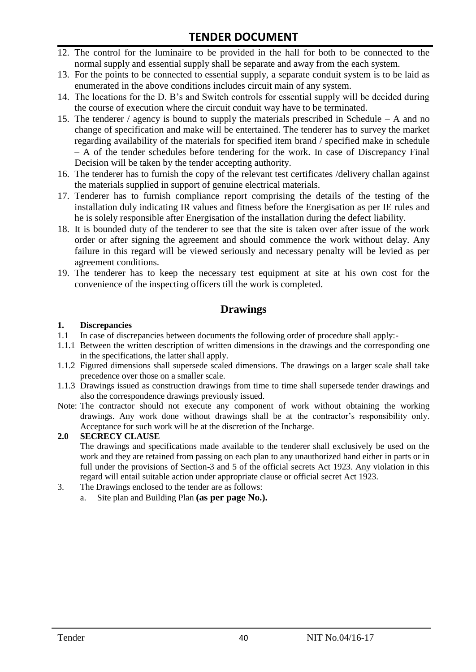- 12. The control for the luminaire to be provided in the hall for both to be connected to the normal supply and essential supply shall be separate and away from the each system.
- 13. For the points to be connected to essential supply, a separate conduit system is to be laid as enumerated in the above conditions includes circuit main of any system.
- 14. The locations for the D. B"s and Switch controls for essential supply will be decided during the course of execution where the circuit conduit way have to be terminated.
- 15. The tenderer / agency is bound to supply the materials prescribed in Schedule A and no change of specification and make will be entertained. The tenderer has to survey the market regarding availability of the materials for specified item brand / specified make in schedule – A of the tender schedules before tendering for the work. In case of Discrepancy Final Decision will be taken by the tender accepting authority.
- 16. The tenderer has to furnish the copy of the relevant test certificates /delivery challan against the materials supplied in support of genuine electrical materials.
- 17. Tenderer has to furnish compliance report comprising the details of the testing of the installation duly indicating IR values and fitness before the Energisation as per IE rules and he is solely responsible after Energisation of the installation during the defect liability.
- 18. It is bounded duty of the tenderer to see that the site is taken over after issue of the work order or after signing the agreement and should commence the work without delay. Any failure in this regard will be viewed seriously and necessary penalty will be levied as per agreement conditions.
- 19. The tenderer has to keep the necessary test equipment at site at his own cost for the convenience of the inspecting officers till the work is completed.

# **Drawings**

#### **1. Discrepancies**

- 1.1 In case of discrepancies between documents the following order of procedure shall apply:-
- 1.1.1 Between the written description of written dimensions in the drawings and the corresponding one in the specifications, the latter shall apply.
- 1.1.2 Figured dimensions shall supersede scaled dimensions. The drawings on a larger scale shall take precedence over those on a smaller scale.
- 1.1.3 Drawings issued as construction drawings from time to time shall supersede tender drawings and also the correspondence drawings previously issued.
- Note: The contractor should not execute any component of work without obtaining the working drawings. Any work done without drawings shall be at the contractor"s responsibility only. Acceptance for such work will be at the discretion of the Incharge.

#### **2.0 SECRECY CLAUSE**

The drawings and specifications made available to the tenderer shall exclusively be used on the work and they are retained from passing on each plan to any unauthorized hand either in parts or in full under the provisions of Section-3 and 5 of the official secrets Act 1923. Any violation in this regard will entail suitable action under appropriate clause or official secret Act 1923.

- 3. The Drawings enclosed to the tender are as follows:
	- a. Site plan and Building Plan **(as per page No.).**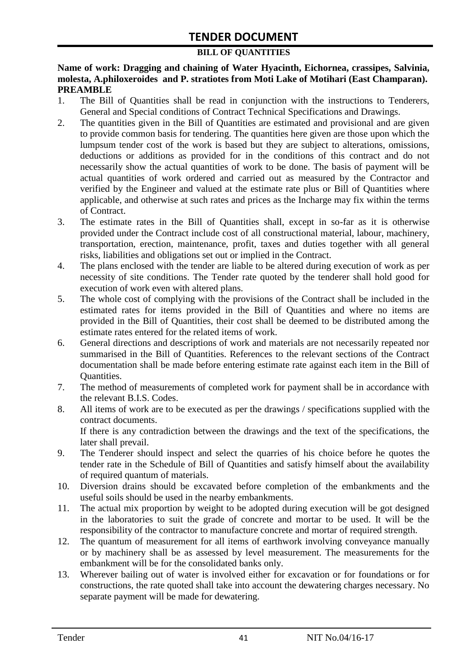#### **BILL OF QUANTITIES**

**Name of work: Dragging and chaining of Water Hyacinth, Eichornea, crassipes, Salvinia, molesta, A.philoxeroides and P. stratiotes from Moti Lake of Motihari (East Champaran). PREAMBLE**

- 1. The Bill of Quantities shall be read in conjunction with the instructions to Tenderers, General and Special conditions of Contract Technical Specifications and Drawings.
- 2. The quantities given in the Bill of Quantities are estimated and provisional and are given to provide common basis for tendering. The quantities here given are those upon which the lumpsum tender cost of the work is based but they are subject to alterations, omissions, deductions or additions as provided for in the conditions of this contract and do not necessarily show the actual quantities of work to be done. The basis of payment will be actual quantities of work ordered and carried out as measured by the Contractor and verified by the Engineer and valued at the estimate rate plus or Bill of Quantities where applicable, and otherwise at such rates and prices as the Incharge may fix within the terms of Contract.
- 3. The estimate rates in the Bill of Quantities shall, except in so-far as it is otherwise provided under the Contract include cost of all constructional material, labour, machinery, transportation, erection, maintenance, profit, taxes and duties together with all general risks, liabilities and obligations set out or implied in the Contract.
- 4. The plans enclosed with the tender are liable to be altered during execution of work as per necessity of site conditions. The Tender rate quoted by the tenderer shall hold good for execution of work even with altered plans.
- 5. The whole cost of complying with the provisions of the Contract shall be included in the estimated rates for items provided in the Bill of Quantities and where no items are provided in the Bill of Quantities, their cost shall be deemed to be distributed among the estimate rates entered for the related items of work.
- 6. General directions and descriptions of work and materials are not necessarily repeated nor summarised in the Bill of Quantities. References to the relevant sections of the Contract documentation shall be made before entering estimate rate against each item in the Bill of Quantities.
- 7. The method of measurements of completed work for payment shall be in accordance with the relevant B.I.S. Codes.
- 8. All items of work are to be executed as per the drawings / specifications supplied with the contract documents. If there is any contradiction between the drawings and the text of the specifications, the

later shall prevail.

- 9. The Tenderer should inspect and select the quarries of his choice before he quotes the tender rate in the Schedule of Bill of Quantities and satisfy himself about the availability of required quantum of materials.
- 10. Diversion drains should be excavated before completion of the embankments and the useful soils should be used in the nearby embankments.
- 11. The actual mix proportion by weight to be adopted during execution will be got designed in the laboratories to suit the grade of concrete and mortar to be used. It will be the responsibility of the contractor to manufacture concrete and mortar of required strength.
- 12. The quantum of measurement for all items of earthwork involving conveyance manually or by machinery shall be as assessed by level measurement. The measurements for the embankment will be for the consolidated banks only.
- 13. Wherever bailing out of water is involved either for excavation or for foundations or for constructions, the rate quoted shall take into account the dewatering charges necessary. No separate payment will be made for dewatering.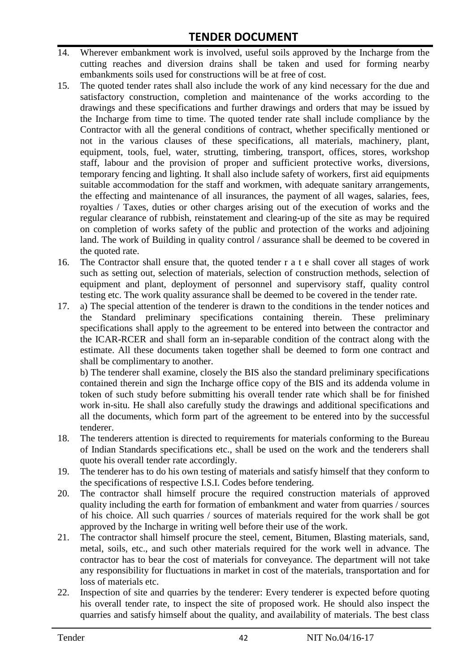- 14. Wherever embankment work is involved, useful soils approved by the Incharge from the cutting reaches and diversion drains shall be taken and used for forming nearby embankments soils used for constructions will be at free of cost.
- 15. The quoted tender rates shall also include the work of any kind necessary for the due and satisfactory construction, completion and maintenance of the works according to the drawings and these specifications and further drawings and orders that may be issued by the Incharge from time to time. The quoted tender rate shall include compliance by the Contractor with all the general conditions of contract, whether specifically mentioned or not in the various clauses of these specifications, all materials, machinery, plant, equipment, tools, fuel, water, strutting, timbering, transport, offices, stores, workshop staff, labour and the provision of proper and sufficient protective works, diversions, temporary fencing and lighting. It shall also include safety of workers, first aid equipments suitable accommodation for the staff and workmen, with adequate sanitary arrangements, the effecting and maintenance of all insurances, the payment of all wages, salaries, fees, royalties / Taxes, duties or other charges arising out of the execution of works and the regular clearance of rubbish, reinstatement and clearing-up of the site as may be required on completion of works safety of the public and protection of the works and adjoining land. The work of Building in quality control / assurance shall be deemed to be covered in the quoted rate.
- 16. The Contractor shall ensure that, the quoted tender r a t e shall cover all stages of work such as setting out, selection of materials, selection of construction methods, selection of equipment and plant, deployment of personnel and supervisory staff, quality control testing etc. The work quality assurance shall be deemed to be covered in the tender rate.
- 17. a) The special attention of the tenderer is drawn to the conditions in the tender notices and the Standard preliminary specifications containing therein. These preliminary specifications shall apply to the agreement to be entered into between the contractor and the ICAR-RCER and shall form an in-separable condition of the contract along with the estimate. All these documents taken together shall be deemed to form one contract and shall be complimentary to another.

b) The tenderer shall examine, closely the BIS also the standard preliminary specifications contained therein and sign the Incharge office copy of the BIS and its addenda volume in token of such study before submitting his overall tender rate which shall be for finished work in-situ. He shall also carefully study the drawings and additional specifications and all the documents, which form part of the agreement to be entered into by the successful tenderer.

- 18. The tenderers attention is directed to requirements for materials conforming to the Bureau of Indian Standards specifications etc., shall be used on the work and the tenderers shall quote his overall tender rate accordingly.
- 19. The tenderer has to do his own testing of materials and satisfy himself that they conform to the specifications of respective I.S.I. Codes before tendering.
- 20. The contractor shall himself procure the required construction materials of approved quality including the earth for formation of embankment and water from quarries / sources of his choice. All such quarries / sources of materials required for the work shall be got approved by the Incharge in writing well before their use of the work.
- 21. The contractor shall himself procure the steel, cement, Bitumen, Blasting materials, sand, metal, soils, etc., and such other materials required for the work well in advance. The contractor has to bear the cost of materials for conveyance. The department will not take any responsibility for fluctuations in market in cost of the materials, transportation and for loss of materials etc.
- 22. Inspection of site and quarries by the tenderer: Every tenderer is expected before quoting his overall tender rate, to inspect the site of proposed work. He should also inspect the quarries and satisfy himself about the quality, and availability of materials. The best class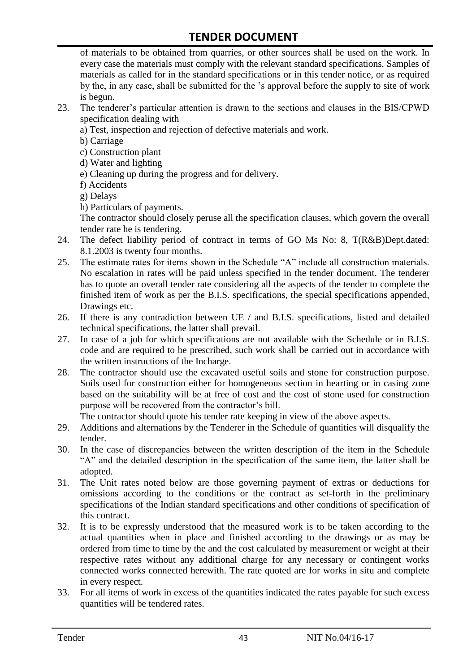of materials to be obtained from quarries, or other sources shall be used on the work. In every case the materials must comply with the relevant standard specifications. Samples of materials as called for in the standard specifications or in this tender notice, or as required by the, in any case, shall be submitted for the "s approval before the supply to site of work is begun.

- 23. The tenderer"s particular attention is drawn to the sections and clauses in the BIS/CPWD specification dealing with
	- a) Test, inspection and rejection of defective materials and work.
	- b) Carriage
	- c) Construction plant
	- d) Water and lighting
	- e) Cleaning up during the progress and for delivery.
	- f) Accidents
	- g) Delays
	- h) Particulars of payments.

The contractor should closely peruse all the specification clauses, which govern the overall tender rate he is tendering.

- 24. The defect liability period of contract in terms of GO Ms No: 8, T(R&B)Dept.dated: 8.1.2003 is twenty four months.
- 25. The estimate rates for items shown in the Schedule "A" include all construction materials. No escalation in rates will be paid unless specified in the tender document. The tenderer has to quote an overall tender rate considering all the aspects of the tender to complete the finished item of work as per the B.I.S. specifications, the special specifications appended, Drawings etc.
- 26. If there is any contradiction between UE / and B.I.S. specifications, listed and detailed technical specifications, the latter shall prevail.
- 27. In case of a job for which specifications are not available with the Schedule or in B.I.S. code and are required to be prescribed, such work shall be carried out in accordance with the written instructions of the Incharge.
- 28. The contractor should use the excavated useful soils and stone for construction purpose. Soils used for construction either for homogeneous section in hearting or in casing zone based on the suitability will be at free of cost and the cost of stone used for construction purpose will be recovered from the contractor's bill.

The contractor should quote his tender rate keeping in view of the above aspects.

- 29. Additions and alternations by the Tenderer in the Schedule of quantities will disqualify the tender.
- 30. In the case of discrepancies between the written description of the item in the Schedule "A" and the detailed description in the specification of the same item, the latter shall be adopted.
- 31. The Unit rates noted below are those governing payment of extras or deductions for omissions according to the conditions or the contract as set-forth in the preliminary specifications of the Indian standard specifications and other conditions of specification of this contract.
- 32. It is to be expressly understood that the measured work is to be taken according to the actual quantities when in place and finished according to the drawings or as may be ordered from time to time by the and the cost calculated by measurement or weight at their respective rates without any additional charge for any necessary or contingent works connected works connected herewith. The rate quoted are for works in situ and complete in every respect.
- 33. For all items of work in excess of the quantities indicated the rates payable for such excess quantities will be tendered rates.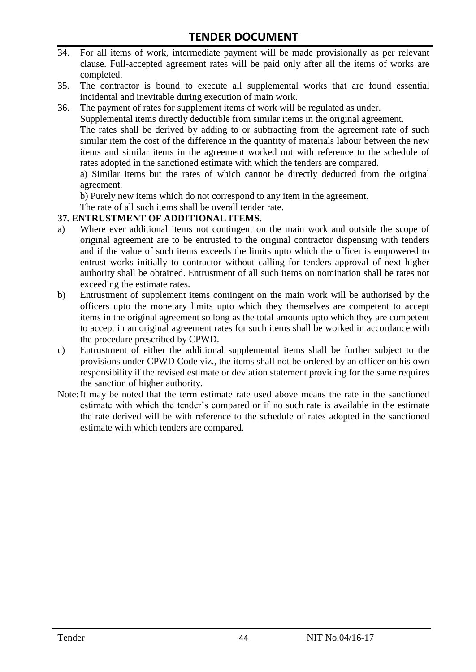- 34. For all items of work, intermediate payment will be made provisionally as per relevant clause. Full-accepted agreement rates will be paid only after all the items of works are completed.
- 35. The contractor is bound to execute all supplemental works that are found essential incidental and inevitable during execution of main work.
- 36. The payment of rates for supplement items of work will be regulated as under.

Supplemental items directly deductible from similar items in the original agreement.

The rates shall be derived by adding to or subtracting from the agreement rate of such similar item the cost of the difference in the quantity of materials labour between the new items and similar items in the agreement worked out with reference to the schedule of rates adopted in the sanctioned estimate with which the tenders are compared.

a) Similar items but the rates of which cannot be directly deducted from the original agreement.

b) Purely new items which do not correspond to any item in the agreement.

The rate of all such items shall be overall tender rate.

#### **37. ENTRUSTMENT OF ADDITIONAL ITEMS.**

- a) Where ever additional items not contingent on the main work and outside the scope of original agreement are to be entrusted to the original contractor dispensing with tenders and if the value of such items exceeds the limits upto which the officer is empowered to entrust works initially to contractor without calling for tenders approval of next higher authority shall be obtained. Entrustment of all such items on nomination shall be rates not exceeding the estimate rates.
- b) Entrustment of supplement items contingent on the main work will be authorised by the officers upto the monetary limits upto which they themselves are competent to accept items in the original agreement so long as the total amounts upto which they are competent to accept in an original agreement rates for such items shall be worked in accordance with the procedure prescribed by CPWD.
- c) Entrustment of either the additional supplemental items shall be further subject to the provisions under CPWD Code viz., the items shall not be ordered by an officer on his own responsibility if the revised estimate or deviation statement providing for the same requires the sanction of higher authority.
- Note:It may be noted that the term estimate rate used above means the rate in the sanctioned estimate with which the tender"s compared or if no such rate is available in the estimate the rate derived will be with reference to the schedule of rates adopted in the sanctioned estimate with which tenders are compared.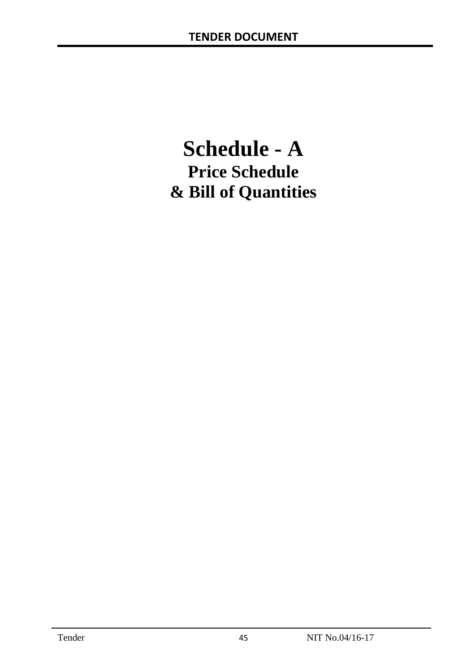# **Schedule - A Price Schedule & Bill of Quantities**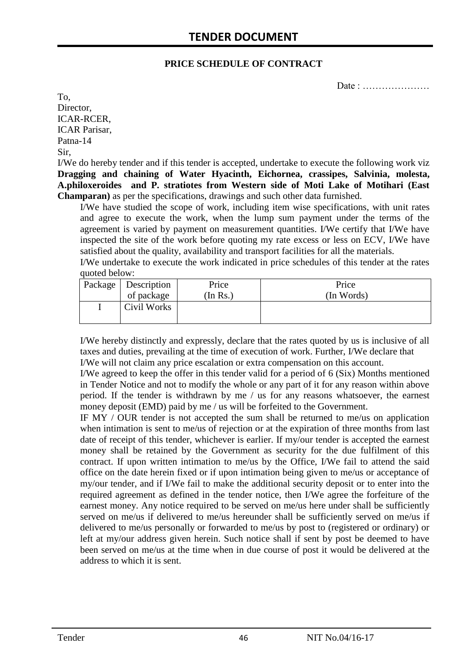#### **PRICE SCHEDULE OF CONTRACT**

Date : …………………

To, Director, ICAR-RCER, ICAR Parisar, Patna-14 Sir,

I/We do hereby tender and if this tender is accepted, undertake to execute the following work viz **Dragging and chaining of Water Hyacinth, Eichornea, crassipes, Salvinia, molesta, A.philoxeroides and P. stratiotes from Western side of Moti Lake of Motihari (East Champaran)** as per the specifications, drawings and such other data furnished.

I/We have studied the scope of work, including item wise specifications, with unit rates and agree to execute the work, when the lump sum payment under the terms of the agreement is varied by payment on measurement quantities. I/We certify that I/We have inspected the site of the work before quoting my rate excess or less on ECV, I/We have satisfied about the quality, availability and transport facilities for all the materials.

I/We undertake to execute the work indicated in price schedules of this tender at the rates quoted below:

| Package   Description | Price   | Price      |
|-----------------------|---------|------------|
| of package            | In Rs.) | (In Words) |
| Civil Works           |         |            |

I/We hereby distinctly and expressly, declare that the rates quoted by us is inclusive of all taxes and duties, prevailing at the time of execution of work. Further, I/We declare that I/We will not claim any price escalation or extra compensation on this account.

I/We agreed to keep the offer in this tender valid for a period of 6 (Six) Months mentioned in Tender Notice and not to modify the whole or any part of it for any reason within above period. If the tender is withdrawn by me / us for any reasons whatsoever, the earnest money deposit (EMD) paid by me / us will be forfeited to the Government.

IF MY / OUR tender is not accepted the sum shall be returned to me/us on application when intimation is sent to me/us of rejection or at the expiration of three months from last date of receipt of this tender, whichever is earlier. If my/our tender is accepted the earnest money shall be retained by the Government as security for the due fulfilment of this contract. If upon written intimation to me/us by the Office, I/We fail to attend the said office on the date herein fixed or if upon intimation being given to me/us or acceptance of my/our tender, and if I/We fail to make the additional security deposit or to enter into the required agreement as defined in the tender notice, then I/We agree the forfeiture of the earnest money. Any notice required to be served on me/us here under shall be sufficiently served on me/us if delivered to me/us hereunder shall be sufficiently served on me/us if delivered to me/us personally or forwarded to me/us by post to (registered or ordinary) or left at my/our address given herein. Such notice shall if sent by post be deemed to have been served on me/us at the time when in due course of post it would be delivered at the address to which it is sent.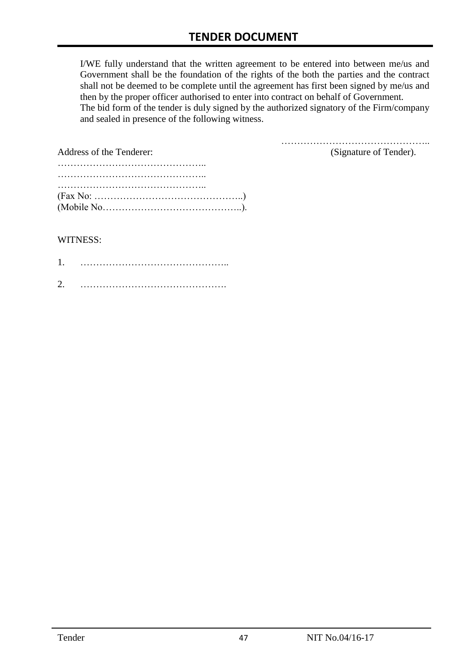I/WE fully understand that the written agreement to be entered into between me/us and Government shall be the foundation of the rights of the both the parties and the contract shall not be deemed to be complete until the agreement has first been signed by me/us and then by the proper officer authorised to enter into contract on behalf of Government. The bid form of the tender is duly signed by the authorized signatory of the Firm/company and sealed in presence of the following witness.

| Address of the Tenderer:                                                                  | (Signature of Tender). |
|-------------------------------------------------------------------------------------------|------------------------|
|                                                                                           |                        |
|                                                                                           |                        |
|                                                                                           |                        |
| $(Fax No: \dots \dots \dots \dots \dots \dots \dots \dots \dots \dots \dots \dots \dots)$ |                        |
|                                                                                           |                        |

#### WITNESS:

| ⌒ |  |
|---|--|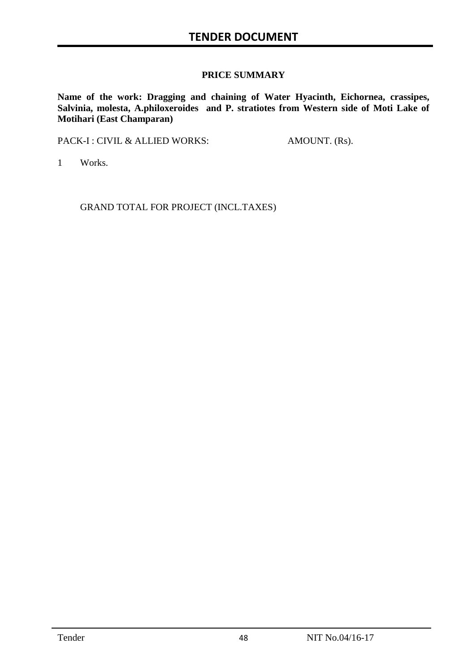#### **PRICE SUMMARY**

**Name of the work: Dragging and chaining of Water Hyacinth, Eichornea, crassipes, Salvinia, molesta, A.philoxeroides and P. stratiotes from Western side of Moti Lake of Motihari (East Champaran)**

PACK-I : CIVIL & ALLIED WORKS: AMOUNT. (Rs).

1 Works.

GRAND TOTAL FOR PROJECT (INCL.TAXES)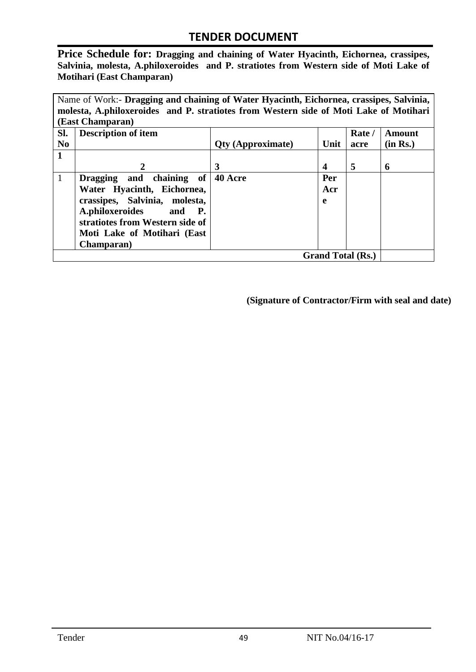**Price Schedule for: Dragging and chaining of Water Hyacinth, Eichornea, crassipes, Salvinia, molesta, A.philoxeroides and P. stratiotes from Western side of Moti Lake of Motihari (East Champaran)**

Name of Work:- **Dragging and chaining of Water Hyacinth, Eichornea, crassipes, Salvinia, molesta, A.philoxeroides and P. stratiotes from Western side of Moti Lake of Motihari (East Champaran)**

| Sl.<br>N <sub>0</sub> | <b>Description of item</b>                                                                                                                                                                                                | <b>Qty (Approximate)</b> | Unit            | Rate /<br>acre | <b>Amount</b><br>(in Rs.) |
|-----------------------|---------------------------------------------------------------------------------------------------------------------------------------------------------------------------------------------------------------------------|--------------------------|-----------------|----------------|---------------------------|
| 1                     |                                                                                                                                                                                                                           | 3                        | 4               | 5              | 6                         |
| 1                     | chaining of<br>Dragging and<br>Water Hyacinth, Eichornea,<br>crassipes, Salvinia, molesta,<br>A.philoxeroides<br>and<br><b>P.</b><br>stratiotes from Western side of<br>Moti Lake of Motihari (East<br><b>Champaran</b> ) | 40 Acre                  | Per<br>Acr<br>e |                |                           |
|                       | <b>Grand Total (Rs.)</b>                                                                                                                                                                                                  |                          |                 |                |                           |

**(Signature of Contractor/Firm with seal and date)**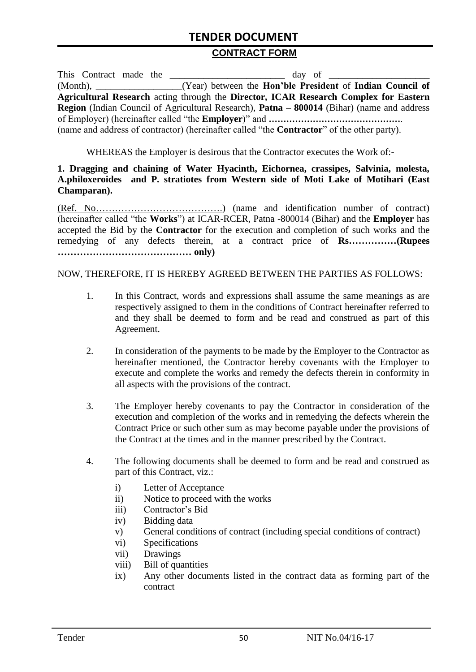#### **CONTRACT FORM**

| This Contract made the | $\frac{day}{dx}$ of $\frac{1}{x}$                                                                        |
|------------------------|----------------------------------------------------------------------------------------------------------|
|                        | (Month), _________________(Year) between the <b>Hon'ble President</b> of <b>Indian Council of</b>        |
|                        | Agricultural Research acting through the Director, ICAR Research Complex for Eastern                     |
|                        | <b>Region</b> (Indian Council of Agricultural Research), <b>Patna – 800014</b> (Bihar) (name and address |
|                        |                                                                                                          |
|                        | (name and address of contractor) (hereinafter called "the <b>Contractor</b> " of the other party).       |

WHEREAS the Employer is desirous that the Contractor executes the Work of:-

#### **1. Dragging and chaining of Water Hyacinth, Eichornea, crassipes, Salvinia, molesta, A.philoxeroides and P. stratiotes from Western side of Moti Lake of Motihari (East Champaran).**

(Ref. No………………………………….) (name and identification number of contract) (hereinafter called "the **Works**") at ICAR-RCER, Patna -800014 (Bihar) and the **Employer** has accepted the Bid by the **Contractor** for the execution and completion of such works and the remedying of any defects therein, at a contract price of **Rs……………(Rupees …………………………………… only)**

#### NOW, THEREFORE, IT IS HEREBY AGREED BETWEEN THE PARTIES AS FOLLOWS:

- 1. In this Contract, words and expressions shall assume the same meanings as are respectively assigned to them in the conditions of Contract hereinafter referred to and they shall be deemed to form and be read and construed as part of this Agreement.
- 2. In consideration of the payments to be made by the Employer to the Contractor as hereinafter mentioned, the Contractor hereby covenants with the Employer to execute and complete the works and remedy the defects therein in conformity in all aspects with the provisions of the contract.
- 3. The Employer hereby covenants to pay the Contractor in consideration of the execution and completion of the works and in remedying the defects wherein the Contract Price or such other sum as may become payable under the provisions of the Contract at the times and in the manner prescribed by the Contract.
- 4. The following documents shall be deemed to form and be read and construed as part of this Contract, viz.:
	- i) Letter of Acceptance
	- ii) Notice to proceed with the works
	- iii) Contractor"s Bid
	- iv) Bidding data
	- v) General conditions of contract (including special conditions of contract)
	- vi) Specifications
	- vii) Drawings
	- viii) Bill of quantities
	- ix) Any other documents listed in the contract data as forming part of the contract